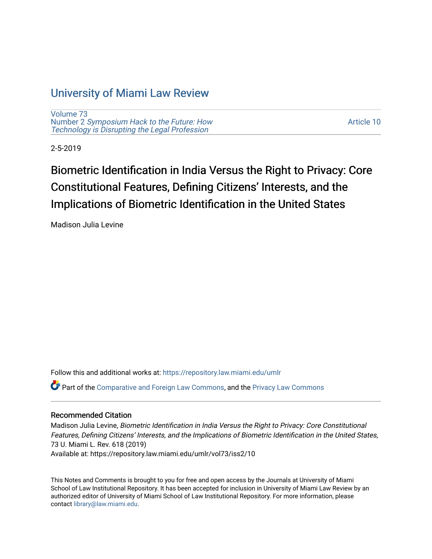## [University of Miami Law Review](https://repository.law.miami.edu/umlr)

[Volume 73](https://repository.law.miami.edu/umlr/vol73) Number 2 [Symposium Hack to the Future: How](https://repository.law.miami.edu/umlr/vol73/iss2)  [Technology is Disrupting the Legal Profession](https://repository.law.miami.edu/umlr/vol73/iss2)

[Article 10](https://repository.law.miami.edu/umlr/vol73/iss2/10) 

2-5-2019

# Biometric Identification in India Versus the Right to Privacy: Core Constitutional Features, Defining Citizens' Interests, and the Implications of Biometric Identification in the United States

Madison Julia Levine

Follow this and additional works at: [https://repository.law.miami.edu/umlr](https://repository.law.miami.edu/umlr?utm_source=repository.law.miami.edu%2Fumlr%2Fvol73%2Fiss2%2F10&utm_medium=PDF&utm_campaign=PDFCoverPages)

Part of the [Comparative and Foreign Law Commons,](http://network.bepress.com/hgg/discipline/836?utm_source=repository.law.miami.edu%2Fumlr%2Fvol73%2Fiss2%2F10&utm_medium=PDF&utm_campaign=PDFCoverPages) and the [Privacy Law Commons](http://network.bepress.com/hgg/discipline/1234?utm_source=repository.law.miami.edu%2Fumlr%2Fvol73%2Fiss2%2F10&utm_medium=PDF&utm_campaign=PDFCoverPages) 

#### Recommended Citation

Madison Julia Levine, Biometric Identification in India Versus the Right to Privacy: Core Constitutional Features, Defining Citizens' Interests, and the Implications of Biometric Identification in the United States, 73 U. Miami L. Rev. 618 (2019) Available at: https://repository.law.miami.edu/umlr/vol73/iss2/10

This Notes and Comments is brought to you for free and open access by the Journals at University of Miami School of Law Institutional Repository. It has been accepted for inclusion in University of Miami Law Review by an authorized editor of University of Miami School of Law Institutional Repository. For more information, please contact [library@law.miami.edu](mailto:library@law.miami.edu).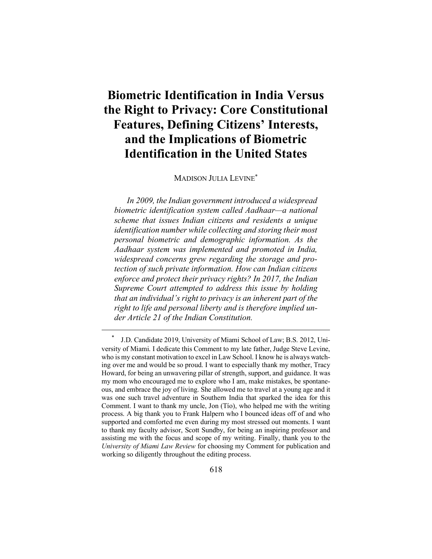## **Biometric Identification in India Versus the Right to Privacy: Core Constitutional Features, Defining Citizens' Interests, and the Implications of Biometric Identification in the United States**

MADISON JULIA LEVINE\*

*In 2009, the Indian government introduced a widespread biometric identification system called Aadhaar—a national scheme that issues Indian citizens and residents a unique identification number while collecting and storing their most personal biometric and demographic information. As the Aadhaar system was implemented and promoted in India, widespread concerns grew regarding the storage and protection of such private information. How can Indian citizens enforce and protect their privacy rights? In 2017, the Indian Supreme Court attempted to address this issue by holding that an individual's right to privacy is an inherent part of the right to life and personal liberty and is therefore implied under Article 21 of the Indian Constitution.*

 <sup>\*</sup> J.D. Candidate 2019, University of Miami School of Law; B.S. 2012, University of Miami. I dedicate this Comment to my late father, Judge Steve Levine, who is my constant motivation to excel in Law School. I know he is always watching over me and would be so proud. I want to especially thank my mother, Tracy Howard, for being an unwavering pillar of strength, support, and guidance. It was my mom who encouraged me to explore who I am, make mistakes, be spontaneous, and embrace the joy of living. She allowed me to travel at a young age and it was one such travel adventure in Southern India that sparked the idea for this Comment. I want to thank my uncle, Jon (Tío), who helped me with the writing process. A big thank you to Frank Halpern who I bounced ideas off of and who supported and comforted me even during my most stressed out moments. I want to thank my faculty advisor, Scott Sundby, for being an inspiring professor and assisting me with the focus and scope of my writing. Finally, thank you to the *University of Miami Law Review* for choosing my Comment for publication and working so diligently throughout the editing process.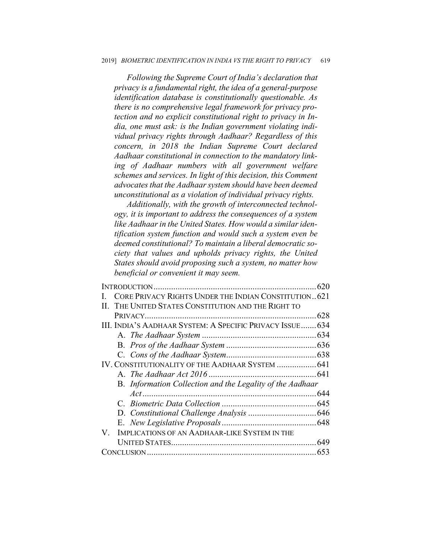*Following the Supreme Court of India's declaration that privacy is a fundamental right, the idea of a general-purpose identification database is constitutionally questionable. As there is no comprehensive legal framework for privacy protection and no explicit constitutional right to privacy in India, one must ask: is the Indian government violating individual privacy rights through Aadhaar? Regardless of this concern, in 2018 the Indian Supreme Court declared Aadhaar constitutional in connection to the mandatory linking of Aadhaar numbers with all government welfare schemes and services. In light of this decision, this Comment advocates that the Aadhaar system should have been deemed unconstitutional as a violation of individual privacy rights.*

*Additionally, with the growth of interconnected technology, it is important to address the consequences of a system like Aadhaar in the United States. How would a similar identification system function and would such a system even be deemed constitutional? To maintain a liberal democratic society that values and upholds privacy rights, the United States should avoid proposing such a system, no matter how beneficial or convenient it may seem.*

|                                                           | 620 |
|-----------------------------------------------------------|-----|
| CORE PRIVACY RIGHTS UNDER THE INDIAN CONSTITUTION 621     |     |
| II. THE UNITED STATES CONSTITUTION AND THE RIGHT TO       |     |
|                                                           | 628 |
| III. INDIA'S AADHAAR SYSTEM: A SPECIFIC PRIVACY ISSUE 634 |     |
|                                                           |     |
|                                                           |     |
|                                                           |     |
| IV. CONSTITUTIONALITY OF THE AADHAAR SYSTEM  641          |     |
|                                                           |     |
| B. Information Collection and the Legality of the Aadhaar |     |
|                                                           |     |
|                                                           |     |
|                                                           |     |
|                                                           |     |
| IMPLICATIONS OF AN AADHAAR-LIKE SYSTEM IN THE<br>V.       |     |
|                                                           | 649 |
|                                                           |     |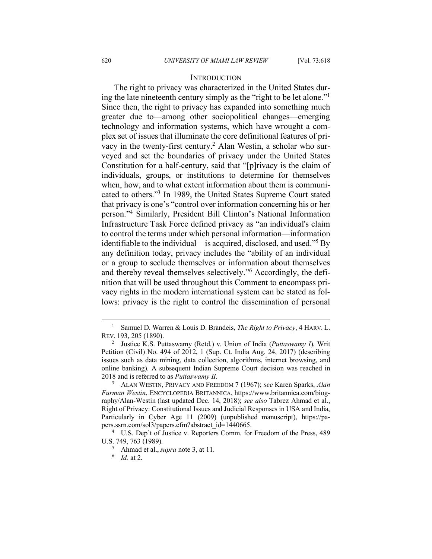#### **INTRODUCTION**

The right to privacy was characterized in the United States during the late nineteenth century simply as the "right to be let alone."1 Since then, the right to privacy has expanded into something much greater due to—among other sociopolitical changes—emerging technology and information systems, which have wrought a complex set of issues that illuminate the core definitional features of privacy in the twenty-first century. <sup>2</sup> Alan Westin, a scholar who surveyed and set the boundaries of privacy under the United States Constitution for a half-century, said that "[p]rivacy is the claim of individuals, groups, or institutions to determine for themselves when, how, and to what extent information about them is communicated to others."3 In 1989, the United States Supreme Court stated that privacy is one's "control over information concerning his or her person."4 Similarly, President Bill Clinton's National Information Infrastructure Task Force defined privacy as "an individual's claim to control the terms under which personal information—information identifiable to the individual—is acquired, disclosed, and used."5 By any definition today, privacy includes the "ability of an individual or a group to seclude themselves or information about themselves and thereby reveal themselves selectively."6 Accordingly, the definition that will be used throughout this Comment to encompass privacy rights in the modern international system can be stated as follows: privacy is the right to control the dissemination of personal

<sup>&</sup>lt;sup>1</sup> Samuel D. Warren & Louis D. Brandeis, *The Right to Privacy*, 4 HARV. L. REV. 193, 205 (1890).

<sup>2</sup> Justice K.S. Puttaswamy (Retd.) v. Union of India (*Puttaswamy I*), Writ Petition (Civil) No. 494 of 2012, 1 (Sup. Ct. India Aug. 24, 2017) (describing issues such as data mining, data collection, algorithms, internet browsing, and online banking). A subsequent Indian Supreme Court decision was reached in 2018 and is referred to as *Puttaswamy II*.

<sup>3</sup> ALAN WESTIN, PRIVACY AND FREEDOM 7 (1967); *see* Karen Sparks, *Alan Furman Westin*, ENCYCLOPEDIA BRITANNICA, https://www.britannica.com/biography/Alan-Westin (last updated Dec. 14, 2018); *see also* Tabrez Ahmad et al., Right of Privacy: Constitutional Issues and Judicial Responses in USA and India, Particularly in Cyber Age 11 (2009) (unpublished manuscript), https://papers.ssrn.com/sol3/papers.cfm?abstract\_id=1440665. 4 U.S. Dep't of Justice v. Reporters Comm. for Freedom of the Press, 489

U.S. 749, 763 (1989). 5 Ahmad et al., *supra* note 3, at 11. 6 *Id.* at 2.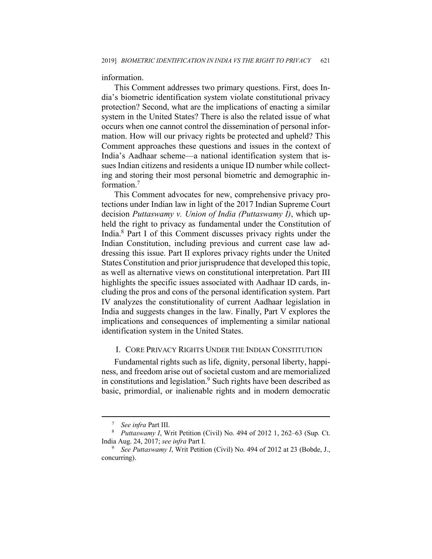#### information.

This Comment addresses two primary questions. First, does India's biometric identification system violate constitutional privacy protection? Second, what are the implications of enacting a similar system in the United States? There is also the related issue of what occurs when one cannot control the dissemination of personal information. How will our privacy rights be protected and upheld? This Comment approaches these questions and issues in the context of India's Aadhaar scheme—a national identification system that issues Indian citizens and residents a unique ID number while collecting and storing their most personal biometric and demographic information.7

This Comment advocates for new, comprehensive privacy protections under Indian law in light of the 2017 Indian Supreme Court decision *Puttaswamy v. Union of India (Puttaswamy I)*, which upheld the right to privacy as fundamental under the Constitution of India. <sup>8</sup> Part I of this Comment discusses privacy rights under the Indian Constitution, including previous and current case law addressing this issue. Part II explores privacy rights under the United States Constitution and prior jurisprudence that developed this topic, as well as alternative views on constitutional interpretation. Part III highlights the specific issues associated with Aadhaar ID cards, including the pros and cons of the personal identification system. Part IV analyzes the constitutionality of current Aadhaar legislation in India and suggests changes in the law. Finally, Part V explores the implications and consequences of implementing a similar national identification system in the United States.

## I. CORE PRIVACY RIGHTS UNDER THE INDIAN CONSTITUTION

Fundamental rights such as life, dignity, personal liberty, happiness, and freedom arise out of societal custom and are memorialized in constitutions and legislation. <sup>9</sup> Such rights have been described as basic, primordial, or inalienable rights and in modern democratic

<sup>&</sup>lt;sup>7</sup> *See infra* Part III.<br><sup>8</sup> *Puttaswamy I*, Writ Petition (Civil) No. 494 of 2012 1, 262–63 (Sup. Ct. India Aug. 24, 2017; *see infra* Part I. 9 *See Puttaswamy I*, Writ Petition (Civil) No. 494 of 2012 at 23 (Bobde, J.,

concurring).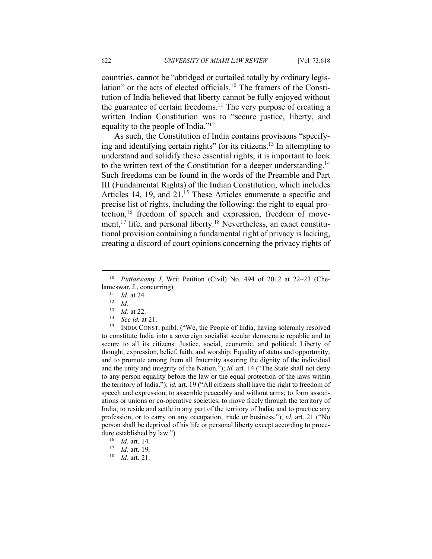countries, cannot be "abridged or curtailed totally by ordinary legislation" or the acts of elected officials. <sup>10</sup> The framers of the Constitution of India believed that liberty cannot be fully enjoyed without the guarantee of certain freedoms.<sup>11</sup> The very purpose of creating a written Indian Constitution was to "secure justice, liberty, and equality to the people of India."12

As such, the Constitution of India contains provisions "specifying and identifying certain rights" for its citizens.<sup>13</sup> In attempting to understand and solidify these essential rights, it is important to look to the written text of the Constitution for a deeper understanding.<sup>14</sup> Such freedoms can be found in the words of the Preamble and Part III (Fundamental Rights) of the Indian Constitution, which includes Articles 14, 19, and 21.<sup>15</sup> These Articles enumerate a specific and precise list of rights, including the following: the right to equal protection,<sup>16</sup> freedom of speech and expression, freedom of movement,<sup>17</sup> life, and personal liberty.<sup>18</sup> Nevertheless, an exact constitutional provision containing a fundamental right of privacy is lacking, creating a discord of court opinions concerning the privacy rights of

 $\overline{a}$ 

<sup>15</sup> INDIA CONST. pmbl. ("We, the People of India, having solemnly resolved to constitute India into a sovereign socialist secular democratic republic and to secure to all its citizens: Justice, social, economic, and political; Liberty of thought, expression, belief, faith, and worship; Equality of status and opportunity; and to promote among them all fraternity assuring the dignity of the individual and the unity and integrity of the Nation."); *id.* art. 14 ("The State shall not deny to any person equality before the law or the equal protection of the laws within the territory of India."); *id.* art. 19 ("All citizens shall have the right to freedom of speech and expression; to assemble peaceably and without arms; to form associations or unions or co-operative societies; to move freely through the territory of India; to reside and settle in any part of the territory of India; and to practice any profession, or to carry on any occupation, trade or business."); *id.* art. 21 ("No person shall be deprived of his life or personal liberty except according to procedure established by law.").

<sup>18</sup> *Id.* art. 21.

<sup>10</sup> *Puttaswamy I*, Writ Petition (Civil) No. 494 of 2012 at 22–23 (Chelameswar, J., concurring).

 $\begin{bmatrix} 11 & Id. \ 12 & Id. \end{bmatrix}$ <br>  $\begin{bmatrix} 13 & Id. \end{bmatrix}$  at 22

<sup>13</sup> *Id.* at 22.<br><sup>14</sup> *See id.* at 21.

<sup>16</sup> *Id.* art. 14.

<sup>17</sup> *Id.* art. 19.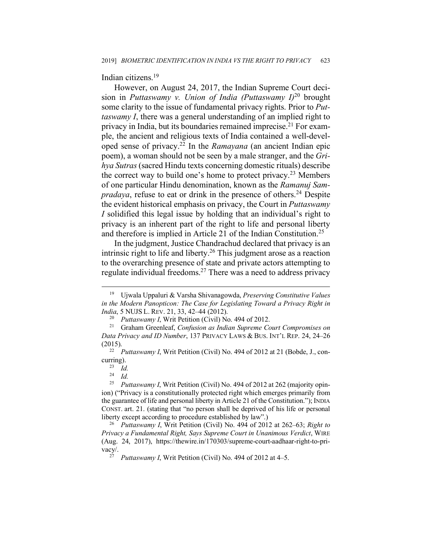Indian citizens. 19

However, on August 24, 2017, the Indian Supreme Court decision in *Puttaswamy v. Union of India (Puttaswamy I)*<sup>20</sup> brought some clarity to the issue of fundamental privacy rights. Prior to *Puttaswamy I*, there was a general understanding of an implied right to privacy in India, but its boundaries remained imprecise.<sup>21</sup> For example, the ancient and religious texts of India contained a well-developed sense of privacy. <sup>22</sup> In the *Ramayana* (an ancient Indian epic poem), a woman should not be seen by a male stranger, and the *Grihya Sutras*(sacred Hindu texts concerning domestic rituals) describe the correct way to build one's home to protect privacy.<sup>23</sup> Members of one particular Hindu denomination, known as the *Ramanuj Sampradaya*, refuse to eat or drink in the presence of others.<sup>24</sup> Despite the evident historical emphasis on privacy, the Court in *Puttaswamy I* solidified this legal issue by holding that an individual's right to privacy is an inherent part of the right to life and personal liberty and therefore is implied in Article 21 of the Indian Constitution. 25

In the judgment, Justice Chandrachud declared that privacy is an intrinsic right to life and liberty.26 This judgment arose as a reaction to the overarching presence of state and private actors attempting to regulate individual freedoms.27 There was a need to address privacy

<sup>19</sup> Ujwala Uppaluri & Varsha Shivanagowda, *Preserving Constitutive Values in the Modern Panopticon: The Case for Legislating Toward a Privacy Right in* 

*India*, 5 NUJS L. REV. 21, 33, 42–44 (2012).<br><sup>20</sup> *Puttaswamy I*, Writ Petition (Civil) No. 494 of 2012.<br><sup>21</sup> Graham Greenleaf, *Confusion as Indian Supreme Court Compromises on Data Privacy and ID Number*, 137 PRIVACY LAWS & BUS. INT'L REP. 24, 24–26 (2015). 22 *Puttaswamy I*, Writ Petition (Civil) No. 494 of 2012 at 21 (Bobde, J., con-

curring).

 $\frac{23}{24}$  *Id.* 

 $\frac{24}{25}$  *Id.*  $\frac{1}{25}$ 

<sup>25</sup> *Puttaswamy I*, Writ Petition (Civil) No. 494 of 2012 at 262 (majority opinion) ("Privacy is a constitutionally protected right which emerges primarily from the guarantee of life and personal liberty in Article 21 of the Constitution."); INDIA CONST. art. 21. (stating that "no person shall be deprived of his life or personal liberty except according to procedure established by law".)

<sup>26</sup> *Puttaswamy I*, Writ Petition (Civil) No. 494 of 2012 at 262–63; *Right to Privacy a Fundamental Right, Says Supreme Court in Unanimous Verdict*, WIRE (Aug. 24, 2017), https://thewire.in/170303/supreme-court-aadhaar-right-to-privacy/. 27 *Puttaswamy I*, Writ Petition (Civil) No. 494 of 2012 at 4–5.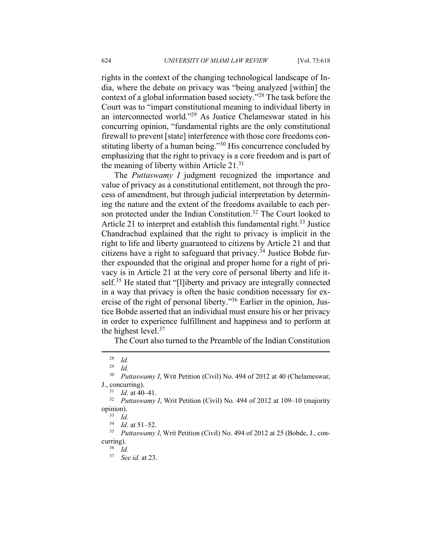rights in the context of the changing technological landscape of India, where the debate on privacy was "being analyzed [within] the context of a global information based society."28 The task before the Court was to "impart constitutional meaning to individual liberty in an interconnected world."29 As Justice Chelameswar stated in his concurring opinion, "fundamental rights are the only constitutional firewall to prevent [state] interference with those core freedoms constituting liberty of a human being."<sup>30</sup> His concurrence concluded by emphasizing that the right to privacy is a core freedom and is part of the meaning of liberty within Article 21. 31

The *Puttaswamy I* judgment recognized the importance and value of privacy as a constitutional entitlement, not through the process of amendment, but through judicial interpretation by determining the nature and the extent of the freedoms available to each person protected under the Indian Constitution.<sup>32</sup> The Court looked to Article 21 to interpret and establish this fundamental right.<sup>33</sup> Justice Chandrachud explained that the right to privacy is implicit in the right to life and liberty guaranteed to citizens by Article 21 and that citizens have a right to safeguard that privacy.<sup>34</sup> Justice Bobde further expounded that the original and proper home for a right of privacy is in Article 21 at the very core of personal liberty and life itself.<sup>35</sup> He stated that "[l]iberty and privacy are integrally connected in a way that privacy is often the basic condition necessary for exercise of the right of personal liberty."36 Earlier in the opinion, Justice Bobde asserted that an individual must ensure his or her privacy in order to experience fulfillment and happiness and to perform at the highest level.<sup>37</sup>

The Court also turned to the Preamble of the Indian Constitution

 $\frac{28}{29}$  *Id.* 

*Id.* 

<sup>&</sup>lt;sup>30</sup> *Puttaswamy I*, Writ Petition (Civil) No. 494 of 2012 at 40 (Chelameswar, J., concurring).<br> $\frac{31}{d}$  d at 40

 $\frac{31}{32}$  *Id.* at 40–41.

<sup>32</sup> *Puttaswamy I*, Writ Petition (Civil) No. 494 of 2012 at 109–10 (majority opinion).<br> $\frac{33}{34}$  *Id.*<br> $\frac{34}{16}$  at 51–52.

<sup>&</sup>lt;sup>35</sup> *Puttaswamy I*, Writ Petition (Civil) No. 494 of 2012 at 25 (Bobde, J., concurring).<br> $\frac{36}{10}$ 

<sup>37</sup> *See id.* at 23.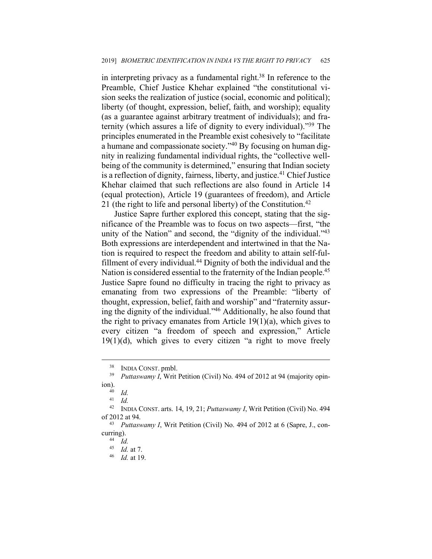in interpreting privacy as a fundamental right. $38$  In reference to the Preamble, Chief Justice Khehar explained "the constitutional vision seeks the realization of justice (social, economic and political); liberty (of thought, expression, belief, faith, and worship); equality (as a guarantee against arbitrary treatment of individuals); and fraternity (which assures a life of dignity to every individual)."39 The principles enumerated in the Preamble exist cohesively to "facilitate a humane and compassionate society."40 By focusing on human dignity in realizing fundamental individual rights, the "collective wellbeing of the community is determined," ensuring that Indian society is a reflection of dignity, fairness, liberty, and justice.<sup>41</sup> Chief Justice Khehar claimed that such reflections are also found in Article 14 (equal protection), Article 19 (guarantees of freedom), and Article 21 (the right to life and personal liberty) of the Constitution.<sup>42</sup>

Justice Sapre further explored this concept, stating that the significance of the Preamble was to focus on two aspects—first, "the unity of the Nation" and second, the "dignity of the individual."<sup>43</sup> Both expressions are interdependent and intertwined in that the Nation is required to respect the freedom and ability to attain self-fulfillment of every individual.44 Dignity of both the individual and the Nation is considered essential to the fraternity of the Indian people.<sup>45</sup> Justice Sapre found no difficulty in tracing the right to privacy as emanating from two expressions of the Preamble: "liberty of thought, expression, belief, faith and worship" and "fraternity assuring the dignity of the individual."46 Additionally, he also found that the right to privacy emanates from Article 19(1)(a), which gives to every citizen "a freedom of speech and expression," Article  $19(1)(d)$ , which gives to every citizen "a right to move freely

<sup>38</sup> INDIA CONST. pmbl.

<sup>&</sup>lt;sup>39</sup> *Puttaswamy I*, Writ Petition (Civil) No. 494 of 2012 at 94 (majority opin- $\lim_{40}$ .

 $\frac{40}{41}$  *Id.* 

 $\frac{41}{42}$  *Id.* 

<sup>42</sup> INDIA CONST. arts. 14, 19, 21; *Puttaswamy I*, Writ Petition (Civil) No. 494 of 2012 at 94. 43 *Puttaswamy I*, Writ Petition (Civil) No. 494 of 2012 at 6 (Sapre, J., con-

curring).<br> $^{44}$  *Id.* 

<sup>45</sup> *Id.* at 7.

<sup>46</sup> *Id.* at 19.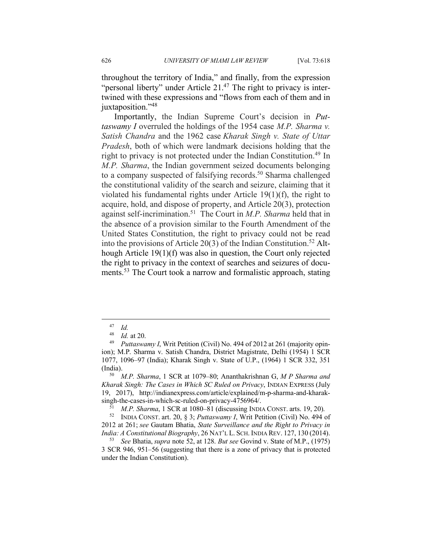throughout the territory of India," and finally, from the expression "personal liberty" under Article 21.<sup>47</sup> The right to privacy is intertwined with these expressions and "flows from each of them and in juxtaposition."<sup>48</sup>

Importantly, the Indian Supreme Court's decision in *Puttaswamy I* overruled the holdings of the 1954 case *M.P. Sharma v. Satish Chandra* and the 1962 case *Kharak Singh v. State of Uttar Pradesh*, both of which were landmark decisions holding that the right to privacy is not protected under the Indian Constitution.49 In *M.P. Sharma*, the Indian government seized documents belonging to a company suspected of falsifying records. <sup>50</sup> Sharma challenged the constitutional validity of the search and seizure, claiming that it violated his fundamental rights under Article 19(1)(f), the right to acquire, hold, and dispose of property, and Article 20(3), protection against self-incrimination.51 The Court in *M.P. Sharma* held that in the absence of a provision similar to the Fourth Amendment of the United States Constitution, the right to privacy could not be read into the provisions of Article 20(3) of the Indian Constitution. <sup>52</sup> Although Article 19(1)(f) was also in question, the Court only rejected the right to privacy in the context of searches and seizures of documents.53 The Court took a narrow and formalistic approach, stating

 $\frac{47}{48}$  *Id.* 

<sup>48</sup> *Id.* at 20.

*Puttaswamy I*, Writ Petition (Civil) No. 494 of 2012 at 261 (majority opinion); M.P. Sharma v. Satish Chandra, District Magistrate, Delhi (1954) 1 SCR 1077, 1096–97 (India); Kharak Singh v. State of U.P., (1964) 1 SCR 332, 351 (India).

<sup>50</sup> *M.P. Sharma*, 1 SCR at 1079–80; Ananthakrishnan G, *M P Sharma and Kharak Singh: The Cases in Which SC Ruled on Privacy*, INDIAN EXPRESS (July 19, 2017), http://indianexpress.com/article/explained/m-p-sharma-and-kharaksingh-the-cases-in-which-sc-ruled-on-privacy-4756964/. 51 *M.P. Sharma*, 1 SCR at 1080–81 (discussing INDIA CONST. arts. 19, 20).

<sup>52</sup> INDIA CONST. art. 20, § 3; *Puttaswamy I*, Writ Petition (Civil) No. 494 of 2012 at 261; *see* Gautam Bhatia, *State Surveillance and the Right to Privacy in India: A Constitutional Biography*, 26 NAT'L L. SCH. INDIA REV. 127, 130 (2014). 53 *See* Bhatia, *supra* note 52, at 128. *But see* Govind v. State of M.P., (1975)

<sup>3</sup> SCR 946, 951–56 (suggesting that there is a zone of privacy that is protected under the Indian Constitution).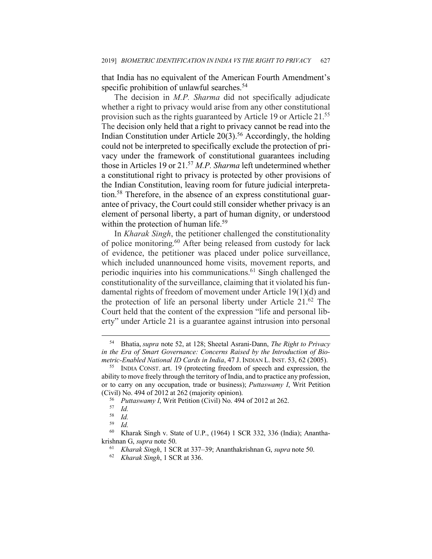that India has no equivalent of the American Fourth Amendment's specific prohibition of unlawful searches.<sup>54</sup>

The decision in *M.P. Sharma* did not specifically adjudicate whether a right to privacy would arise from any other constitutional provision such as the rights guaranteed by Article 19 or Article 21.<sup>55</sup> The decision only held that a right to privacy cannot be read into the Indian Constitution under Article  $20(3)$ <sup>56</sup> Accordingly, the holding could not be interpreted to specifically exclude the protection of privacy under the framework of constitutional guarantees including those in Articles 19 or 21.57 *M.P. Sharma* left undetermined whether a constitutional right to privacy is protected by other provisions of the Indian Constitution, leaving room for future judicial interpretation. <sup>58</sup> Therefore, in the absence of an express constitutional guarantee of privacy, the Court could still consider whether privacy is an element of personal liberty, a part of human dignity, or understood within the protection of human life.<sup>59</sup>

In *Kharak Singh*, the petitioner challenged the constitutionality of police monitoring.60 After being released from custody for lack of evidence, the petitioner was placed under police surveillance, which included unannounced home visits, movement reports, and periodic inquiries into his communications. <sup>61</sup> Singh challenged the constitutionality of the surveillance, claiming that it violated his fundamental rights of freedom of movement under Article 19(1)(d) and the protection of life an personal liberty under Article 21. <sup>62</sup> The Court held that the content of the expression "life and personal liberty" under Article 21 is a guarantee against intrusion into personal

<sup>54</sup> Bhatia, *supra* note 52, at 128; Sheetal Asrani-Dann, *The Right to Privacy in the Era of Smart Governance: Concerns Raised by the Introduction of Biometric-Enabled National ID Cards in India*, 47 J. INDIAN L. INST. 53, 62 (2005).<br><sup>55</sup> INDIA CONST. art. 19 (protecting freedom of speech and expression, the

ability to move freely through the territory of India, and to practice any profession, or to carry on any occupation, trade or business); *Puttaswamy I*, Writ Petition

<sup>(</sup>Civil) No. 494 of 2012 at 262 (majority opinion). 56 *Puttaswamy <sup>I</sup>*, Writ Petition (Civil) No. 494 of 2012 at 262. 57 *Id.*

<sup>58</sup> *Id.*

 $Id$ .

<sup>60</sup> Kharak Singh v. State of U.P., (1964) 1 SCR 332, 336 (India); Ananthakrishnan G, *supra* note 50.

<sup>61</sup> *Kharak Singh*, 1 SCR at 337–39; Ananthakrishnan G, *supra* note 50.

<sup>62</sup> *Kharak Singh*, 1 SCR at 336.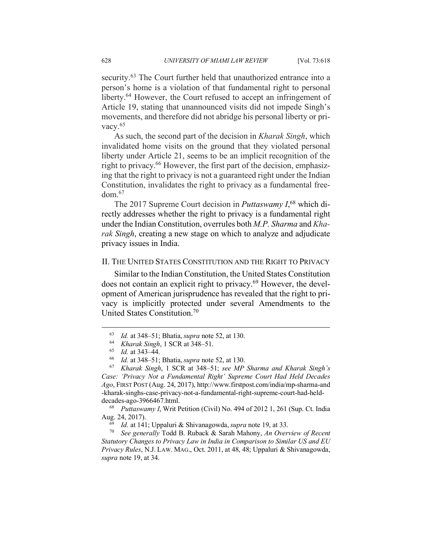security.<sup>63</sup> The Court further held that unauthorized entrance into a person's home is a violation of that fundamental right to personal liberty.<sup>64</sup> However, the Court refused to accept an infringement of Article 19, stating that unannounced visits did not impede Singh's movements, and therefore did not abridge his personal liberty or privacy.<sup>65</sup>

As such, the second part of the decision in *Kharak Singh*, which invalidated home visits on the ground that they violated personal liberty under Article 21, seems to be an implicit recognition of the right to privacy.66 However, the first part of the decision, emphasizing that the right to privacy is not a guaranteed right under the Indian Constitution, invalidates the right to privacy as a fundamental freedom.67

The 2017 Supreme Court decision in *Puttaswamy I*, <sup>68</sup> which directly addresses whether the right to privacy is a fundamental right under the Indian Constitution, overrules both *M.P. Sharma* and *Kharak Singh*, creating a new stage on which to analyze and adjudicate privacy issues in India.

## II. THE UNITED STATES CONSTITUTION AND THE RIGHT TO PRIVACY

Similar to the Indian Constitution, the United States Constitution does not contain an explicit right to privacy.69 However, the development of American jurisprudence has revealed that the right to privacy is implicitly protected under several Amendments to the United States Constitution.70

<sup>63</sup> *Id.* at 348–51; Bhatia, *supra* note 52, at 130.

<sup>64</sup> *Kharak Singh*, 1 SCR at 348–51.

<sup>65</sup> *Id.* at 343–44. 66 *Id.* at 348–51; Bhatia, *supra* note 52, at 130. 67 *Kharak Singh*, 1 SCR at 348–51; *see MP Sharma and Kharak Singh's Case: 'Privacy Not a Fundamental Right' Supreme Court Had Held Decades Ago*, FIRST POST (Aug. 24, 2017), http://www.firstpost.com/india/mp-sharma-and -kharak-singhs-case-privacy-not-a-fundamental-right-supreme-court-had-helddecades-ago-3966467.html. 68 *Puttaswamy I*, Writ Petition (Civil) No. 494 of 2012 1, 261 (Sup. Ct. India

Aug. 24, 2017).

*Id.* at 141; Uppaluri & Shivanagowda, *supra* note 19, at 33.

<sup>70</sup> *See generally* Todd B. Ruback & Sarah Mahony, *An Overview of Recent Statutory Changes to Privacy Law in India in Comparison to Similar US and EU Privacy Rules*, N.J. LAW. MAG., Oct. 2011, at 48, 48; Uppaluri & Shivanagowda, *supra* note 19, at 34.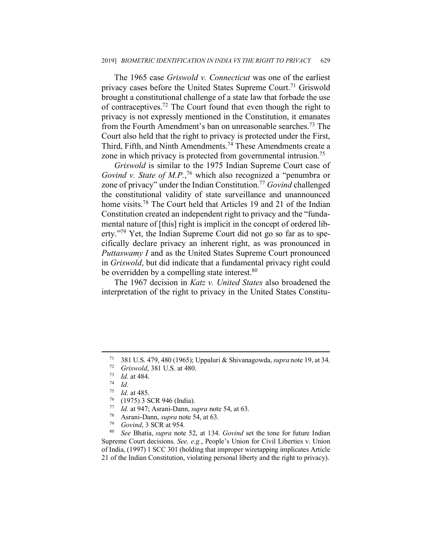The 1965 case *Griswold v. Connecticut* was one of the earliest privacy cases before the United States Supreme Court.<sup>71</sup> Griswold brought a constitutional challenge of a state law that forbade the use of contraceptives.72 The Court found that even though the right to privacy is not expressly mentioned in the Constitution, it emanates from the Fourth Amendment's ban on unreasonable searches.<sup>73</sup> The Court also held that the right to privacy is protected under the First, Third, Fifth, and Ninth Amendments. <sup>74</sup> These Amendments create a zone in which privacy is protected from governmental intrusion.75

*Griswold* is similar to the 1975 Indian Supreme Court case of *Govind v. State of M.P.*, <sup>76</sup> which also recognized a "penumbra or zone of privacy" under the Indian Constitution.77 *Govind* challenged the constitutional validity of state surveillance and unannounced home visits.<sup>78</sup> The Court held that Articles 19 and 21 of the Indian Constitution created an independent right to privacy and the "fundamental nature of [this] right is implicit in the concept of ordered liberty."79 Yet, the Indian Supreme Court did not go so far as to specifically declare privacy an inherent right, as was pronounced in *Puttaswamy I* and as the United States Supreme Court pronounced in *Griswold*, but did indicate that a fundamental privacy right could be overridden by a compelling state interest.<sup>80</sup>

The 1967 decision in *Katz v. United States* also broadened the interpretation of the right to privacy in the United States Constitu-

<sup>71</sup> 381 U.S. 479, 480 (1965); Uppaluri & Shivanagowda,*supra* note 19, at 34.

<sup>72</sup> *Griswold*, 381 U.S. at 480.

 $\frac{73}{74}$  *Id.* at 484.

<sup>74</sup> *Id.*<br>
75 *Id.* at 485.<br>
76 (1975) 3 SCR 946 (India).<br>
77 *Id.* at 947: Asrani-Dann sa

<sup>77</sup> *Id.* at 947; Asrani-Dann, *supra* note 54, at 63. 78 Asrani-Dann, *supra* note 54, at 63.

<sup>79</sup> *Govind*, 3 SCR at 954.

<sup>80</sup> *See* Bhatia, *supra* note 52, at 134. *Govind* set the tone for future Indian Supreme Court decisions. *See, e.g.*, People's Union for Civil Liberties v. Union of India, (1997) 1 SCC 301 (holding that improper wiretapping implicates Article 21 of the Indian Constitution, violating personal liberty and the right to privacy).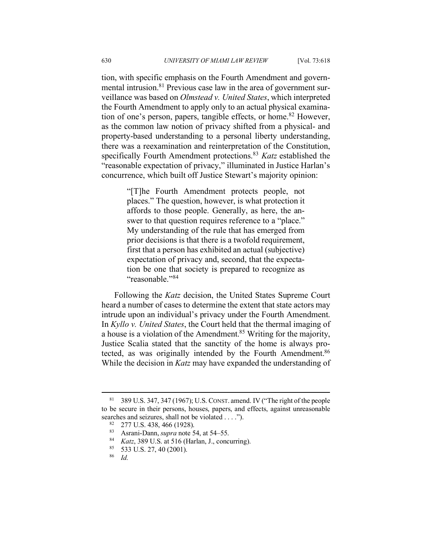tion, with specific emphasis on the Fourth Amendment and governmental intrusion.<sup>81</sup> Previous case law in the area of government surveillance was based on *Olmstead v. United States*, which interpreted the Fourth Amendment to apply only to an actual physical examination of one's person, papers, tangible effects, or home.<sup>82</sup> However, as the common law notion of privacy shifted from a physical- and property-based understanding to a personal liberty understanding, there was a reexamination and reinterpretation of the Constitution, specifically Fourth Amendment protections.<sup>83</sup> *Katz* established the "reasonable expectation of privacy," illuminated in Justice Harlan's concurrence, which built off Justice Stewart's majority opinion:

> "[T]he Fourth Amendment protects people, not places." The question, however, is what protection it affords to those people. Generally, as here, the answer to that question requires reference to a "place." My understanding of the rule that has emerged from prior decisions is that there is a twofold requirement, first that a person has exhibited an actual (subjective) expectation of privacy and, second, that the expectation be one that society is prepared to recognize as "reasonable."84

Following the *Katz* decision, the United States Supreme Court heard a number of cases to determine the extent that state actors may intrude upon an individual's privacy under the Fourth Amendment. In *Kyllo v. United States*, the Court held that the thermal imaging of a house is a violation of the Amendment.85 Writing for the majority, Justice Scalia stated that the sanctity of the home is always protected, as was originally intended by the Fourth Amendment.<sup>86</sup> While the decision in *Katz* may have expanded the understanding of

<sup>81</sup> 389 U.S. 347, 347 (1967); U.S. CONST. amend. IV ("The right of the people to be secure in their persons, houses, papers, and effects, against unreasonable searches and seizures, shall not be violated . . . .").<br><sup>82</sup> 277 U.S. 438, 466 (1928).<br><sup>83</sup> Asrani-Dann, *supra* note 54, at 54–55.<br><sup>84</sup> *Katz*, 389 U.S. at 516 (Harlan, J., concurring).<br><sup>85</sup> 533 U.S. 27, 40 (2001).<br><sup>86</sup>

*Id.*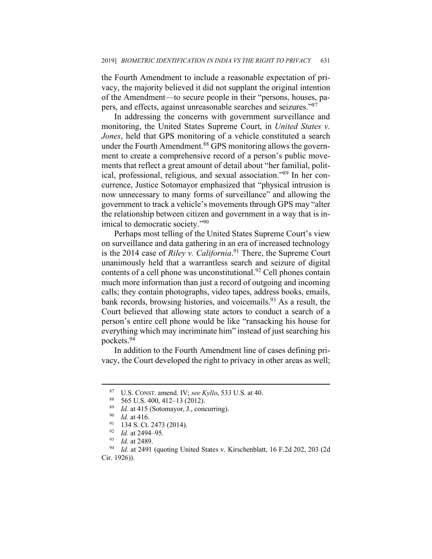the Fourth Amendment to include a reasonable expectation of privacy, the majority believed it did not supplant the original intention of the Amendment—to secure people in their "persons, houses, papers, and effects, against unreasonable searches and seizures."87

In addressing the concerns with government surveillance and monitoring, the United States Supreme Court, in *United States v. Jones*, held that GPS monitoring of a vehicle constituted a search under the Fourth Amendment.<sup>88</sup> GPS monitoring allows the government to create a comprehensive record of a person's public movements that reflect a great amount of detail about "her familial, political, professional, religious, and sexual association."89 In her concurrence, Justice Sotomayor emphasized that "physical intrusion is now unnecessary to many forms of surveillance" and allowing the government to track a vehicle's movements through GPS may "alter the relationship between citizen and government in a way that is inimical to democratic society."90

Perhaps most telling of the United States Supreme Court's view on surveillance and data gathering in an era of increased technology is the 2014 case of *Riley v. California*. <sup>91</sup> There, the Supreme Court unanimously held that a warrantless search and seizure of digital contents of a cell phone was unconstitutional.<sup>92</sup> Cell phones contain much more information than just a record of outgoing and incoming calls; they contain photographs, video tapes, address books, emails, bank records, browsing histories, and voicemails.<sup>93</sup> As a result, the Court believed that allowing state actors to conduct a search of a person's entire cell phone would be like "ransacking his house for everything which may incriminate him" instead of just searching his pockets.94

In addition to the Fourth Amendment line of cases defining privacy, the Court developed the right to privacy in other areas as well;

<sup>87</sup> U.S. CONST. amend. IV; *see Kyllo*, 533 U.S. at 40. 88 565 U.S. 400, 412–13 (2012). 89 *Id.* at 415 (Sotomayor, J., concurring). 90 *Id.* at 416.

<sup>91 134</sup> S. Ct. 2473 (2014).<br>
92 *Id.* at 2494–95.<br>
93 *Id.* at 2489.<br>
94 *Id.* at 2491 (quoting United States v. Kirschenblatt, 16 F.2d 202, 203 (2d) Cir. 1926)).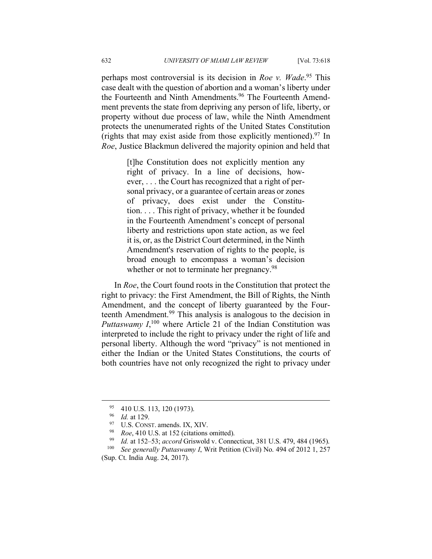perhaps most controversial is its decision in *Roe v. Wade*. <sup>95</sup> This case dealt with the question of abortion and a woman's liberty under the Fourteenth and Ninth Amendments. <sup>96</sup> The Fourteenth Amendment prevents the state from depriving any person of life, liberty, or property without due process of law, while the Ninth Amendment protects the unenumerated rights of the United States Constitution (rights that may exist aside from those explicitly mentioned). <sup>97</sup> In *Roe*, Justice Blackmun delivered the majority opinion and held that

> [t]he Constitution does not explicitly mention any right of privacy. In a line of decisions, however, . . . the Court has recognized that a right of personal privacy, or a guarantee of certain areas or zones of privacy, does exist under the Constitution. . . . This right of privacy, whether it be founded in the Fourteenth Amendment's concept of personal liberty and restrictions upon state action, as we feel it is, or, as the District Court determined, in the Ninth Amendment's reservation of rights to the people, is broad enough to encompass a woman's decision whether or not to terminate her pregnancy.<sup>98</sup>

In *Roe*, the Court found roots in the Constitution that protect the right to privacy: the First Amendment, the Bill of Rights, the Ninth Amendment, and the concept of liberty guaranteed by the Fourteenth Amendment.99 This analysis is analogous to the decision in *Puttaswamy*  $I$ <sup>100</sup>, where Article 21 of the Indian Constitution was interpreted to include the right to privacy under the right of life and personal liberty. Although the word "privacy" is not mentioned in either the Indian or the United States Constitutions, the courts of both countries have not only recognized the right to privacy under

 $\frac{95}{96}$  410 U.S. 113, 120 (1973).

 $\frac{96}{97}$  *Id.* at 129.

<sup>97</sup> U.S. CONST. amends. IX, XIV.<br><sup>98</sup> *Roe*, 410 U.S. at 152 (citations omitted).<br><sup>99</sup> *Id.* at 152, 53: *accord Grievyeld y. Conne* 

<sup>99</sup> *Id.* at 152–53; *accord* Griswold v. Connecticut, 381 U.S. 479, 484 (1965).

<sup>100</sup> *See generally Puttaswamy I*, Writ Petition (Civil) No. 494 of 2012 1, 257 (Sup. Ct. India Aug. 24, 2017).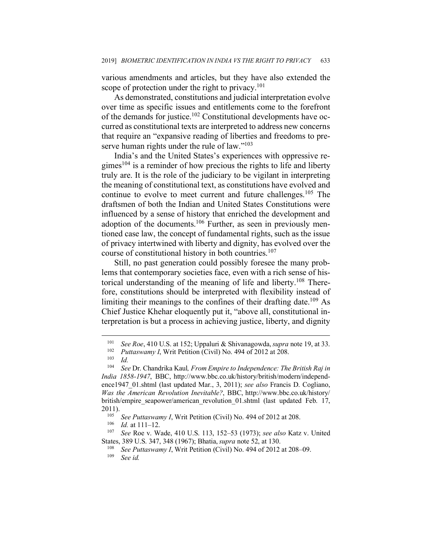various amendments and articles, but they have also extended the scope of protection under the right to privacy.<sup>101</sup>

As demonstrated, constitutions and judicial interpretation evolve over time as specific issues and entitlements come to the forefront of the demands for justice.<sup>102</sup> Constitutional developments have occurred as constitutional texts are interpreted to address new concerns that require an "expansive reading of liberties and freedoms to preserve human rights under the rule of law."<sup>103</sup>

India's and the United States's experiences with oppressive re $gimes<sup>104</sup>$  is a reminder of how precious the rights to life and liberty truly are. It is the role of the judiciary to be vigilant in interpreting the meaning of constitutional text, as constitutions have evolved and continue to evolve to meet current and future challenges.<sup>105</sup> The draftsmen of both the Indian and United States Constitutions were influenced by a sense of history that enriched the development and adoption of the documents.<sup>106</sup> Further, as seen in previously mentioned case law, the concept of fundamental rights, such as the issue of privacy intertwined with liberty and dignity, has evolved over the course of constitutional history in both countries. 107

Still, no past generation could possibly foresee the many problems that contemporary societies face, even with a rich sense of historical understanding of the meaning of life and liberty.108 Therefore, constitutions should be interpreted with flexibility instead of limiting their meanings to the confines of their drafting date.<sup>109</sup> As Chief Justice Khehar eloquently put it, "above all, constitutional interpretation is but a process in achieving justice, liberty, and dignity

<sup>101</sup> *See Roe*, 410 U.S. at 152; Uppaluri & Shivanagowda,*supra* note 19, at 33.

<sup>&</sup>lt;sup>102</sup> *Puttaswamy I*, Writ Petition (Civil) No. 494 of 2012 at 208.

 $\frac{103}{104}$  *Id.* 

<sup>104</sup> *See* Dr. Chandrika Kaul*, From Empire to Independence: The British Raj in India 1858-1947*, BBC, http://www.bbc.co.uk/history/british/modern/independence1947\_01.shtml (last updated Mar., 3, 2011); *see also* Francis D. Cogliano, *Was the American Revolution Inevitable?*, BBC, http://www.bbc.co.uk/history/ british/empire\_seapower/american\_revolution\_01.shtml (last updated Feb. 17, 2011). 105 *See Puttaswamy I*, Writ Petition (Civil) No. 494 of 2012 at 208. 106 *Id.* at 111–12.

<sup>107</sup> *See* Roe v. Wade, 410 U.S. 113, 152–53 (1973); *see also* Katz v. United

States, 389 U.S. 347, 348 (1967); Bhatia, *supra* note 52, at 130.<br><sup>108</sup> *See Puttaswamy I*, Writ Petition (Civil) No. 494 of 2012 at 208–09.<br><sup>109</sup> See id See id.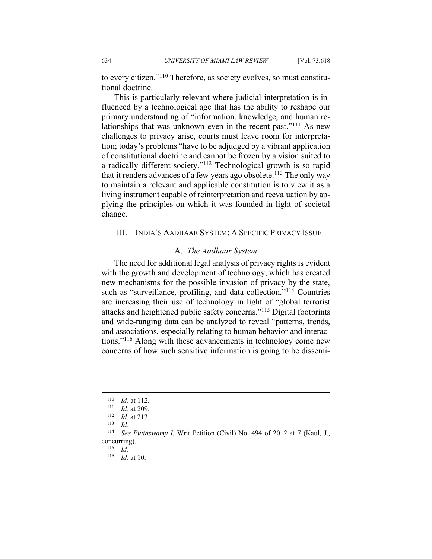to every citizen."110 Therefore, as society evolves, so must constitutional doctrine.

This is particularly relevant where judicial interpretation is influenced by a technological age that has the ability to reshape our primary understanding of "information, knowledge, and human relationships that was unknown even in the recent past."111 As new challenges to privacy arise, courts must leave room for interpretation; today's problems "have to be adjudged by a vibrant application of constitutional doctrine and cannot be frozen by a vision suited to a radically different society."112 Technological growth is so rapid that it renders advances of a few years ago obsolete.<sup>113</sup> The only way to maintain a relevant and applicable constitution is to view it as a living instrument capable of reinterpretation and reevaluation by applying the principles on which it was founded in light of societal change.

#### III. INDIA'S AADHAAR SYSTEM: A SPECIFIC PRIVACY ISSUE

#### A. *The Aadhaar System*

The need for additional legal analysis of privacy rights is evident with the growth and development of technology, which has created new mechanisms for the possible invasion of privacy by the state, such as "surveillance, profiling, and data collection."<sup>114</sup> Countries are increasing their use of technology in light of "global terrorist attacks and heightened public safety concerns."115 Digital footprints and wide-ranging data can be analyzed to reveal "patterns, trends, and associations, especially relating to human behavior and interactions."116 Along with these advancements in technology come new concerns of how such sensitive information is going to be dissemi-

 $\overline{a}$ 

<sup>115</sup> *Id.*

 $\frac{110}{111}$  *Id.* at 112.

<sup>&</sup>lt;sup>111</sup> *Id.* at 209.<br><sup>112</sup> *Id.* at 213.

 $Id.$ 

<sup>114</sup> *See Puttaswamy I*, Writ Petition (Civil) No. 494 of 2012 at 7 (Kaul, J., concurring).

<sup>116</sup> *Id.* at 10.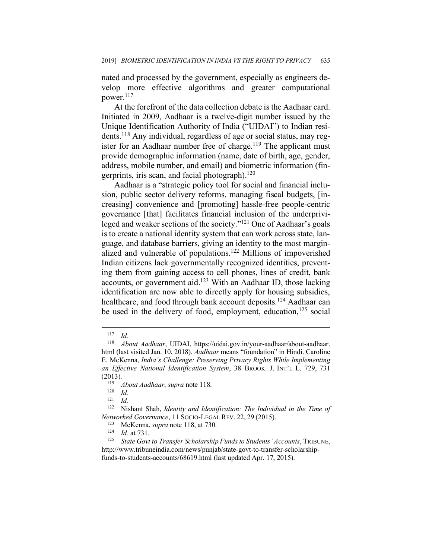nated and processed by the government, especially as engineers develop more effective algorithms and greater computational power. 117

At the forefront of the data collection debate is the Aadhaar card. Initiated in 2009, Aadhaar is a twelve-digit number issued by the Unique Identification Authority of India ("UIDAI") to Indian residents.118 Any individual, regardless of age or social status, may register for an Aadhaar number free of charge.<sup>119</sup> The applicant must provide demographic information (name, date of birth, age, gender, address, mobile number, and email) and biometric information (fingerprints, iris scan, and facial photograph). $120$ 

Aadhaar is a "strategic policy tool for social and financial inclusion, public sector delivery reforms, managing fiscal budgets, [increasing] convenience and [promoting] hassle-free people-centric governance [that] facilitates financial inclusion of the underprivileged and weaker sections of the society."121 One of Aadhaar's goals is to create a national identity system that can work across state, language, and database barriers, giving an identity to the most marginalized and vulnerable of populations.122 Millions of impoverished Indian citizens lack governmentally recognized identities, preventing them from gaining access to cell phones, lines of credit, bank accounts, or government aid.123 With an Aadhaar ID, those lacking identification are now able to directly apply for housing subsidies, healthcare, and food through bank account deposits.<sup>124</sup> Aadhaar can be used in the delivery of food, employment, education, $125$  social

 $\frac{117}{118}$  *Id.* 

<sup>118</sup> *About Aadhaar*, UIDAI, https://uidai.gov.in/your-aadhaar/about-aadhaar. html (last visited Jan. 10, 2018). *Aadhaar* means "foundation" in Hindi. Caroline E. McKenna, *India's Challenge: Preserving Privacy Rights While Implementing an Effective National Identification System*, 38 BROOK. J. INT'L L. 729, 731  $(2013).$ 

<sup>119</sup> *About Aadhaar*, *supra* note 118.

 $\frac{120}{121}$  *Id.* 

 $\frac{121}{122}$  *Id.* 

<sup>122</sup> Nishant Shah, *Identity and Identification: The Individual in the Time of Networked Governance*, 11 SOCIO-LEGAL REV. 22, 29 (2015).

<sup>123</sup> McKenna, *supra* note 118, at 730. 124 *Id.* at 731.

*State Govt to Transfer Scholarship Funds to Students' Accounts*, TRIBUNE, http://www.tribuneindia.com/news/punjab/state-govt-to-transfer-scholarshipfunds-to-students-accounts/68619.html (last updated Apr. 17, 2015).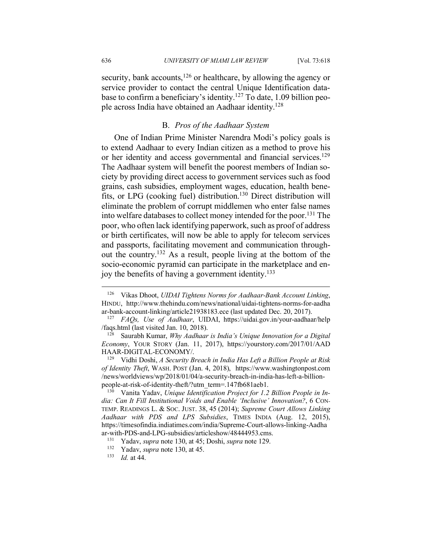security, bank accounts,<sup>126</sup> or healthcare, by allowing the agency or service provider to contact the central Unique Identification database to confirm a beneficiary's identity. <sup>127</sup> To date, 1.09 billion people across India have obtained an Aadhaar identity.128

## B. *Pros of the Aadhaar System*

One of Indian Prime Minister Narendra Modi's policy goals is to extend Aadhaar to every Indian citizen as a method to prove his or her identity and access governmental and financial services.<sup>129</sup> The Aadhaar system will benefit the poorest members of Indian society by providing direct access to government services such as food grains, cash subsidies, employment wages, education, health benefits, or LPG (cooking fuel) distribution.130 Direct distribution will eliminate the problem of corrupt middlemen who enter false names into welfare databases to collect money intended for the poor.131 The poor, who often lack identifying paperwork, such as proof of address or birth certificates, will now be able to apply for telecom services and passports, facilitating movement and communication throughout the country.132 As a result, people living at the bottom of the socio-economic pyramid can participate in the marketplace and enjoy the benefits of having a government identity. 133

*of Identity Theft*, WASH. POST (Jan. 4, 2018), https://www.washingtonpost.com /news/worldviews/wp/2018/01/04/a-security-breach-in-india-has-left-a-billionpeople-at-risk-of-identity-theft/?utm\_term=.147fb681aeb1.<br><sup>130</sup> Vanita Yaday *Unique Identification Project for 1.2* 

Vanita Yadav, *Unique Identification Project for 1.2 Billion People in India: Can It Fill Institutional Voids and Enable 'Inclusive' Innovation?*, 6 CON-TEMP. READINGS L. & SOC. JUST. 38, 45 (2014); *Supreme Court Allows Linking Aadhaar with PDS and LPS Subsidies*, TIMES INDIA (Aug. 12, 2015), https://timesofindia.indiatimes.com/india/Supreme-Court-allows-linking-Aadha

<sup>126</sup> Vikas Dhoot, *UIDAI Tightens Norms for Aadhaar-Bank Account Linking*, HINDU, http://www.thehindu.com/news/national/uidai-tightens-norms-for-aadha ar-bank-account-linking/article21938183.ece (last updated Dec. 20, 2017). 127 *FAQs, Use of Aadhaar*, UIDAI, https://uidai.gov.in/your-aadhaar/help

<sup>/</sup>faqs.html (last visited Jan. 10, 2018). 128 Saurabh Kumar, *Why Aadhaar is India's Unique Innovation for a Digital* 

*Economy*, YOUR STORY (Jan. 11, 2017), https://yourstory.com/2017/01/AAD HAAR-DIGITAL-ECONOMY/. 129 Vidhi Doshi, *A Security Breach in India Has Left a Billion People at Risk* 

ar-with-PDS-and-LPG-subsidies/articleshow/48444953.cms. 131 Yadav, *supra* note 130, at 45; Doshi, *supra* note 129. 132 Yadav, *supra* note 130, at 45. 133 *Id.* at 44.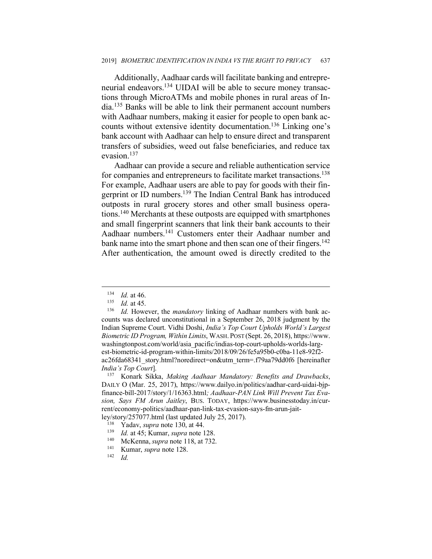Additionally, Aadhaar cards will facilitate banking and entrepreneurial endeavors.134 UIDAI will be able to secure money transactions through MicroATMs and mobile phones in rural areas of India.135 Banks will be able to link their permanent account numbers with Aadhaar numbers, making it easier for people to open bank accounts without extensive identity documentation. <sup>136</sup> Linking one's bank account with Aadhaar can help to ensure direct and transparent transfers of subsidies, weed out false beneficiaries, and reduce tax evasion. 137

Aadhaar can provide a secure and reliable authentication service for companies and entrepreneurs to facilitate market transactions.<sup>138</sup> For example, Aadhaar users are able to pay for goods with their fingerprint or ID numbers.<sup>139</sup> The Indian Central Bank has introduced outposts in rural grocery stores and other small business operations. <sup>140</sup> Merchants at these outposts are equipped with smartphones and small fingerprint scanners that link their bank accounts to their Aadhaar numbers. <sup>141</sup> Customers enter their Aadhaar number and bank name into the smart phone and then scan one of their fingers.<sup>142</sup> After authentication, the amount owed is directly credited to the

 $\frac{134}{135}$  *Id.* at 46.

 $\frac{135}{136}$  *Id.* at 45.

Id. However, the *mandatory* linking of Aadhaar numbers with bank accounts was declared unconstitutional in a September 26, 2018 judgment by the Indian Supreme Court. Vidhi Doshi, *India's Top Court Upholds World's Largest Biometric ID Program, Within Limits*, WASH. POST (Sept. 26, 2018), https://www. washingtonpost.com/world/asia\_pacific/indias-top-court-upholds-worlds-largest-biometric-id-program-within-limits/2018/09/26/fe5a95b0-c0ba-11e8-92f2 ac26fda68341\_story.html?noredirect=on&utm\_term=.f79aa79dd0f6 [hereinafter *India's Top Court*]. 137 Konark Sikka, *Making Aadhaar Mandatory: Benefits and Drawbacks*,

DAILY O (Mar. 25, 2017), https://www.dailyo.in/politics/aadhar-card-uidai-bjpfinance-bill-2017/story/1/16363.html*; Aadhaar-PAN Link Will Prevent Tax Evasion, Says FM Arun Jaitley*, BUS. TODAY, https://www.businesstoday.in/current/economy-politics/aadhaar-pan-link-tax-evasion-says-fm-arun-jaitley/story/257077.html (last updated July 25, 2017).

<sup>138</sup> Yadav, *supra* note 130, at 44.

<sup>139</sup> *Id.* at 45; Kumar, *supra* note 128. 140 McKenna, *supra* note 118, at 732. 141 Kumar, *supra* note 128. 142 *Id.*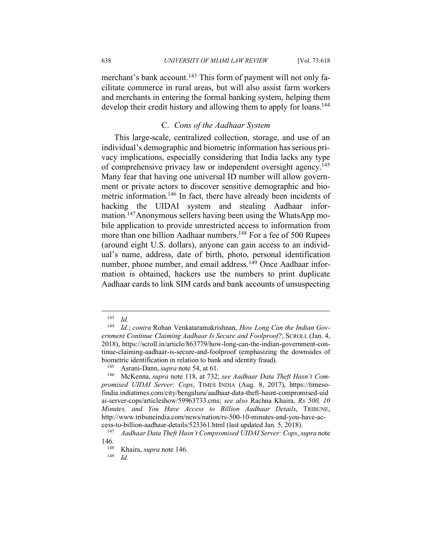merchant's bank account.<sup>143</sup> This form of payment will not only facilitate commerce in rural areas, but will also assist farm workers and merchants in entering the formal banking system, helping them develop their credit history and allowing them to apply for loans.<sup>144</sup>

## C. *Cons of the Aadhaar System*

This large-scale, centralized collection, storage, and use of an individual's demographic and biometric information has serious privacy implications, especially considering that India lacks any type of comprehensive privacy law or independent oversight agency.145 Many fear that having one universal ID number will allow government or private actors to discover sensitive demographic and biometric information.146 In fact, there have already been incidents of hacking the UIDAI system and stealing Aadhaar information.<sup>147</sup>Anonymous sellers having been using the WhatsApp mobile application to provide unrestricted access to information from more than one billion Aadhaar numbers.<sup>148</sup> For a fee of 500 Rupees (around eight U.S. dollars), anyone can gain access to an individual's name, address, date of birth, photo, personal identification number, phone number, and email address.<sup>149</sup> Once Aadhaar information is obtained, hackers use the numbers to print duplicate Aadhaar cards to link SIM cards and bank accounts of unsuspecting

 $\frac{143}{144}$  *Id.* 

<sup>144</sup> *Id.*; *contra* Rohan Venkataramakrishnan, *How Long Can the Indian Government Continue Claiming Aadhaar Is Secure and Foolproof?*, SCROLL (Jan. 4, 2018), https://scroll.in/article/863779/how-long-can-the-indian-government-continue-claiming-aadhaar-is-secure-and-foolproof (emphasizing the downsides of biometric identification in relation to bank and identity fraud).<br><sup>145</sup> Asrani-Dann, *supra* note 54, at 61.<br><sup>146</sup> McKenna, *supra* note 118, at 732; *see Aadhaar Data Theft Hasn't Com*-

*promised UIDAI Server: Cops*, TIMES INDIA (Aug. 8, 2017), https://timesofindia.indiatimes.com/city/bengaluru/aadhaar-data-theft-hasnt-compromised-uid ai-server-cops/articleshow/59963733.cms; *see also* Rachna Khaira, *Rs 500, 10 Minutes, and You Have Access to Billion Aadhaar Details*, TRIBUNE, http://www.tribuneindia.com/news/nation/rs-500-10-minutes-and-you-have-access-to-billion-aadhaar-details/523361.html (last updated Jan. 5, 2018). 147 *Aadhaar Data Theft Hasn't Compromised UIDAI Server: Cops*, *supra* note

 $146.$ <sub>148</sub>

<sup>148</sup> Khaira, *supra* note 146. 149 *Id.*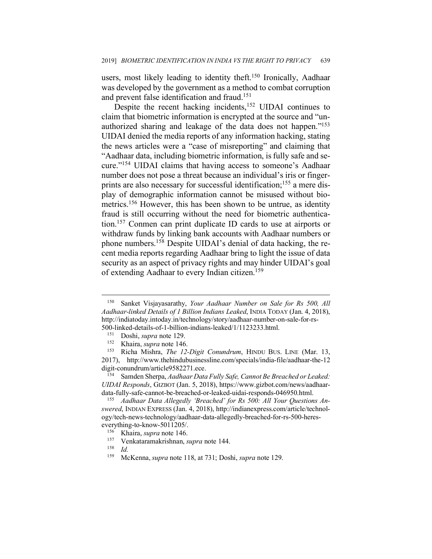users, most likely leading to identity theft. <sup>150</sup> Ironically, Aadhaar was developed by the government as a method to combat corruption and prevent false identification and fraud.151

Despite the recent hacking incidents, <sup>152</sup> UIDAI continues to claim that biometric information is encrypted at the source and "unauthorized sharing and leakage of the data does not happen."153 UIDAI denied the media reports of any information hacking, stating the news articles were a "case of misreporting" and claiming that "Aadhaar data, including biometric information, is fully safe and secure."154 UIDAI claims that having access to someone's Aadhaar number does not pose a threat because an individual's iris or fingerprints are also necessary for successful identification;<sup>155</sup> a mere display of demographic information cannot be misused without biometrics.156 However, this has been shown to be untrue, as identity fraud is still occurring without the need for biometric authentication.157 Conmen can print duplicate ID cards to use at airports or withdraw funds by linking bank accounts with Aadhaar numbers or phone numbers. <sup>158</sup> Despite UIDAI's denial of data hacking, the recent media reports regarding Aadhaar bring to light the issue of data security as an aspect of privacy rights and may hinder UIDAI's goal of extending Aadhaar to every Indian citizen.159

 $\overline{a}$ 

<sup>159</sup> McKenna, *supra* note 118, at 731; Doshi, *supra* note 129.

<sup>150</sup> Sanket Visjayasarathy, *Your Aadhaar Number on Sale for Rs 500, All Aadhaar-linked Details of 1 Billion Indians Leaked*, INDIA TODAY (Jan. 4, 2018), http://indiatoday.intoday.in/technology/story/aadhaar-number-on-sale-for-rs-500-linked-details-of-1-billion-indians-leaked/1/1123233.html. 151 Doshi, *supra* note 129.

<sup>&</sup>lt;sup>152</sup> Khaira, *supra* note 146.<br><sup>153</sup> Richa Mishra *The 12* 

<sup>153</sup> Richa Mishra, *The 12-Digit Conundrum*, HINDU BUS. LINE (Mar. 13, 2017), http://www.thehindubusinessline.com/specials/india-file/aadhaar-the-12 digit-conundrum/article9582271.ece.<br><sup>154</sup> Samden Sherpa, *Aadhaar Data Fully Safe, Cannot Be Breached or Leaked:* 

*UIDAI Responds*, GIZBOT (Jan. 5, 2018), https://www.gizbot.com/news/aadhaardata-fully-safe-cannot-be-breached-or-leaked-uidai-responds-046950.html. 155 *Aadhaar Data Allegedly 'Breached' for Rs 500: All Your Questions An-*

*swered*, INDIAN EXPRESS (Jan. 4, 2018), http://indianexpress.com/article/technology/tech-news-technology/aadhaar-data-allegedly-breached-for-rs-500-heres-

everything-to-know-5011205/. 156 Khaira, *supra* note 146.

<sup>157</sup> Venkataramakrishnan, *supra* note 144.

 $\frac{158}{159}$  *Id.*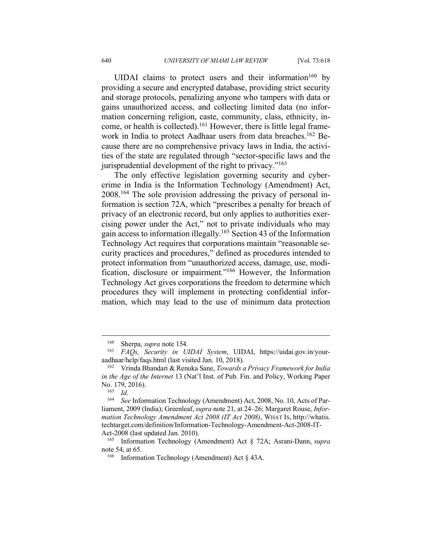UIDAI claims to protect users and their information<sup>160</sup> by providing a secure and encrypted database, providing strict security and storage protocols, penalizing anyone who tampers with data or gains unauthorized access, and collecting limited data (no information concerning religion, caste, community, class, ethnicity, income, or health is collected).<sup>161</sup> However, there is little legal framework in India to protect Aadhaar users from data breaches.<sup>162</sup> Because there are no comprehensive privacy laws in India, the activities of the state are regulated through "sector-specific laws and the jurisprudential development of the right to privacy."163

The only effective legislation governing security and cybercrime in India is the Information Technology (Amendment) Act, 2008.164 The sole provision addressing the privacy of personal information is section 72A, which "prescribes a penalty for breach of privacy of an electronic record, but only applies to authorities exercising power under the Act," not to private individuals who may gain access to information illegally. <sup>165</sup> Section 43 of the Information Technology Act requires that corporations maintain "reasonable security practices and procedures," defined as procedures intended to protect information from "unauthorized access, damage, use, modification, disclosure or impairment."166 However, the Information Technology Act gives corporations the freedom to determine which procedures they will implement in protecting confidential information, which may lead to the use of minimum data protection

<sup>160</sup> Sherpa, *supra* note 154. 161 *FAQs, Security in UIDAI System*, UIDAI, https://uidai.gov.in/youraadhaar/help/faqs.html (last visited Jan. 10, 2018).

<sup>162</sup> Vrinda Bhandari & Renuka Sane, *Towards a Privacy Framework for India in the Age of the Internet* 13 (Nat'l Inst. of Pub. Fin. and Policy, Working Paper No. 179, 2016).<br> $^{163}$  *Id* 

 $\frac{163}{164}$  *Id.* 

See Information Technology (Amendment) Act, 2008, No. 10, Acts of Parliament, 2009 (India); Greenleaf,*supra* note 21, at 24–26; Margaret Rouse, *Information Technology Amendment Act 2008 (IT Act 2008)*, WHAT IS, http://whatis. techtarget.com/definition/Information-Technology-Amendment-Act-2008-IT-Act-2008 (last updated Jan. 2010).

<sup>165</sup> Information Technology (Amendment) Act § 72A; Asrani-Dann, *supra*  note 54, at 65.

<sup>166</sup> Information Technology (Amendment) Act § 43A.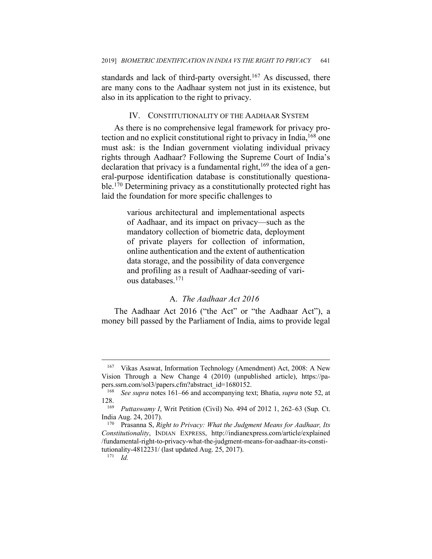standards and lack of third-party oversight.<sup>167</sup> As discussed, there are many cons to the Aadhaar system not just in its existence, but also in its application to the right to privacy.

### IV. CONSTITUTIONALITY OF THE AADHAAR SYSTEM

As there is no comprehensive legal framework for privacy protection and no explicit constitutional right to privacy in India, <sup>168</sup> one must ask: is the Indian government violating individual privacy rights through Aadhaar? Following the Supreme Court of India's declaration that privacy is a fundamental right,  $169$  the idea of a general-purpose identification database is constitutionally questionable.<sup>170</sup> Determining privacy as a constitutionally protected right has laid the foundation for more specific challenges to

> various architectural and implementational aspects of Aadhaar, and its impact on privacy—such as the mandatory collection of biometric data, deployment of private players for collection of information, online authentication and the extent of authentication data storage, and the possibility of data convergence and profiling as a result of Aadhaar-seeding of various databases.171

## A. *The Aadhaar Act 2016*

The Aadhaar Act 2016 ("the Act" or "the Aadhaar Act"), a money bill passed by the Parliament of India, aims to provide legal

<sup>167</sup> Vikas Asawat, Information Technology (Amendment) Act, 2008: A New Vision Through a New Change 4 (2010) (unpublished article), https://papers.ssrn.com/sol3/papers.cfm?abstract\_id=1680152.<br><sup>168</sup> See sunra notes 161–66 and accompanying tex-

<sup>168</sup> *See supra* notes 161–66 and accompanying text; Bhatia, *supra* note 52, at  $128.$ <sub>169</sub>

*Puttaswamy I*, Writ Petition (Civil) No. 494 of 2012 1, 262–63 (Sup. Ct. India Aug. 24, 2017).

<sup>170</sup> Prasanna S, *Right to Privacy: What the Judgment Means for Aadhaar, Its Constitutionality*, INDIAN EXPRESS, http://indianexpress.com/article/explained /fundamental-right-to-privacy-what-the-judgment-means-for-aadhaar-its-constitutionality-4812231/ (last updated Aug. 25, 2017). 171 *Id.*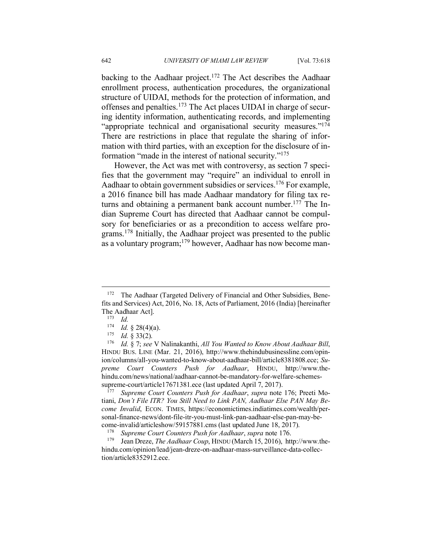backing to the Aadhaar project.<sup>172</sup> The Act describes the Aadhaar enrollment process, authentication procedures, the organizational structure of UIDAI, methods for the protection of information, and offenses and penalties.173 The Act places UIDAI in charge of securing identity information, authenticating records, and implementing "appropriate technical and organisational security measures."<sup>174</sup> There are restrictions in place that regulate the sharing of information with third parties, with an exception for the disclosure of in-

However, the Act was met with controversy, as section 7 specifies that the government may "require" an individual to enroll in Aadhaar to obtain government subsidies or services.<sup>176</sup> For example, a 2016 finance bill has made Aadhaar mandatory for filing tax returns and obtaining a permanent bank account number.<sup>177</sup> The Indian Supreme Court has directed that Aadhaar cannot be compulsory for beneficiaries or as a precondition to access welfare programs.178 Initially, the Aadhaar project was presented to the public as a voluntary program; <sup>179</sup> however, Aadhaar has now become man-

formation "made in the interest of national security."175

 $\overline{a}$ 

tiani, *Don't File ITR? You Still Need to Link PAN, Aadhaar Else PAN May Become Invalid*, ECON. TIMES, https://economictimes.indiatimes.com/wealth/personal-finance-news/dont-file-itr-you-must-link-pan-aadhaar-else-pan-may-become-invalid/articleshow/59157881.cms (last updated June 18, 2017).<br><sup>178</sup> *Supreme Court Counters Push for Aadhaar*, *supra* note 176.<br><sup>179</sup> Jean Dreze, *The Aadhaar Coup*, HINDU (March 15, 2016), http://www.the-

hindu.com/opinion/lead/jean-dreze-on-aadhaar-mass-surveillance-data-collection/article8352912.ece.

<sup>&</sup>lt;sup>172</sup> The Aadhaar (Targeted Delivery of Financial and Other Subsidies, Benefits and Services) Act, 2016, No. 18, Acts of Parliament, 2016 (India) [hereinafter The Aadhaar Act].

 $\frac{173}{174}$  *Id.* 

<sup>174</sup> *Id.* § 28(4)(a). 175 *Id.* § 33(2). 176 *Id.* § 7; *see* V Nalinakanthi, *All You Wanted to Know About Aadhaar Bill*, HINDU BUS. LINE (Mar. 21, 2016), http://www.thehindubusinessline.com/opinion/columns/all-you-wanted-to-know-about-aadhaar-bill/article8381808.ece; *Supreme Court Counters Push for Aadhaar*, HINDU, http://www.thehindu.com/news/national/aadhaar-cannot-be-mandatory-for-welfare-schemessupreme-court/article17671381.ece (last updated April 7, 2017). 177 *Supreme Court Counters Push for Aadhaar*, *supra* note 176; Preeti Mo-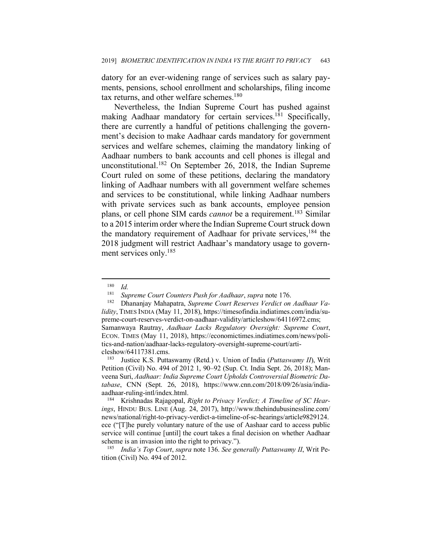datory for an ever-widening range of services such as salary payments, pensions, school enrollment and scholarships, filing income tax returns, and other welfare schemes.<sup>180</sup>

Nevertheless, the Indian Supreme Court has pushed against making Aadhaar mandatory for certain services.<sup>181</sup> Specifically, there are currently a handful of petitions challenging the government's decision to make Aadhaar cards mandatory for government services and welfare schemes, claiming the mandatory linking of Aadhaar numbers to bank accounts and cell phones is illegal and unconstitutional.182 On September 26, 2018, the Indian Supreme Court ruled on some of these petitions, declaring the mandatory linking of Aadhaar numbers with all government welfare schemes and services to be constitutional, while linking Aadhaar numbers with private services such as bank accounts, employee pension plans, or cell phone SIM cards *cannot* be a requirement. <sup>183</sup> Similar to a 2015 interim order where the Indian Supreme Court struck down the mandatory requirement of Aadhaar for private services, <sup>184</sup> the 2018 judgment will restrict Aadhaar's mandatory usage to government services only.<sup>185</sup>

 $\overline{a}$ 

<sup>183</sup> Justice K.S. Puttaswamy (Retd.) v. Union of India (*Puttaswamy II*), Writ Petition (Civil) No. 494 of 2012 1, 90–92 (Sup. Ct. India Sept. 26, 2018); Manveena Suri, *Aadhaar: India Supreme Court Upholds Controversial Biometric Database*, CNN (Sept. 26, 2018), https://www.cnn.com/2018/09/26/asia/indiaaadhaar-ruling-intl/index.html.<br><sup>184</sup> Krishnadas Rajagopal, *Right to Privacy Verdict; A Timeline of SC Hear-*

*ings*, HINDU BUS. LINE (Aug. 24, 2017), http://www.thehindubusinessline.com/ news/national/right-to-privacy-verdict-a-timeline-of-sc-hearings/article9829124. ece ("[T]he purely voluntary nature of the use of Aashaar card to access public service will continue [until] the court takes a final decision on whether Aadhaar scheme is an invasion into the right to privacy.").

<sup>185</sup> *India's Top Court*, *supra* note 136. *See generally Puttaswamy II*, Writ Petition (Civil) No. 494 of 2012.

 $\frac{180}{181}$  *Id.* 

<sup>181</sup> *Supreme Court Counters Push for Aadhaar*, *supra* note 176. 182 Dhananjay Mahapatra, *Supreme Court Reserves Verdict on Aadhaar Validity*, TIMES INDIA (May 11, 2018), https://timesofindia.indiatimes.com/india/supreme-court-reserves-verdict-on-aadhaar-validity/articleshow/64116972.cms; Samanwaya Rautray, *Aadhaar Lacks Regulatory Oversight: Supreme Court*, ECON. TIMES (May 11, 2018), https://economictimes.indiatimes.com/news/politics-and-nation/aadhaar-lacks-regulatory-oversight-supreme-court/articleshow/64117381.cms.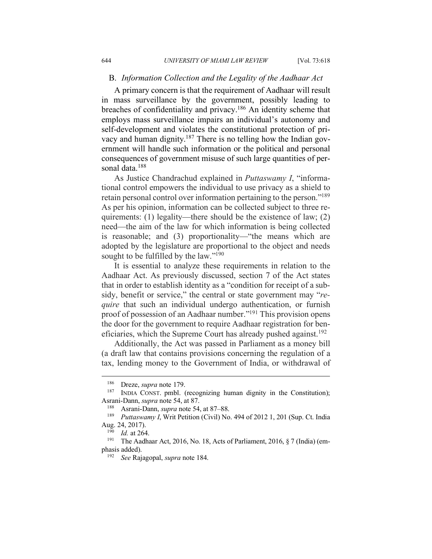#### B. *Information Collection and the Legality of the Aadhaar Act*

A primary concern is that the requirement of Aadhaar will result in mass surveillance by the government, possibly leading to breaches of confidentiality and privacy.<sup>186</sup> An identity scheme that employs mass surveillance impairs an individual's autonomy and self-development and violates the constitutional protection of privacy and human dignity.<sup>187</sup> There is no telling how the Indian government will handle such information or the political and personal consequences of government misuse of such large quantities of personal data. 188

As Justice Chandrachud explained in *Puttaswamy I*, "informational control empowers the individual to use privacy as a shield to retain personal control over information pertaining to the person."189 As per his opinion, information can be collected subject to three requirements: (1) legality—there should be the existence of law; (2) need—the aim of the law for which information is being collected is reasonable; and (3) proportionality—"the means which are adopted by the legislature are proportional to the object and needs sought to be fulfilled by the law."<sup>190</sup>

It is essential to analyze these requirements in relation to the Aadhaar Act. As previously discussed, section 7 of the Act states that in order to establish identity as a "condition for receipt of a subsidy, benefit or service," the central or state government may "*require* that such an individual undergo authentication, or furnish proof of possession of an Aadhaar number."191 This provision opens the door for the government to require Aadhaar registration for beneficiaries, which the Supreme Court has already pushed against.<sup>192</sup>

Additionally, the Act was passed in Parliament as a money bill (a draft law that contains provisions concerning the regulation of a tax, lending money to the Government of India, or withdrawal of

<sup>&</sup>lt;sup>186</sup> Dreze, *supra* note 179.<br><sup>187</sup> INDIA CONST. pmbl. (recognizing human dignity in the Constitution); Asrani-Dann, *supra* note 54, at 87.<br><sup>188</sup> Asrani-Dann, *supra* note 54, at 87–88.<br><sup>189</sup> *Puttaswamy I* Writ Petition (Civil) No

*Puttaswamy I*, Writ Petition (Civil) No. 494 of 2012 1, 201 (Sup. Ct. India Aug. 24, 2017).

 $\frac{190}{191}$  *Id.* at 264.

The Aadhaar Act, 2016, No. 18, Acts of Parliament, 2016,  $\S 7$  (India) (emphasis added).

<sup>192</sup> *See* Rajagopal, *supra* note 184.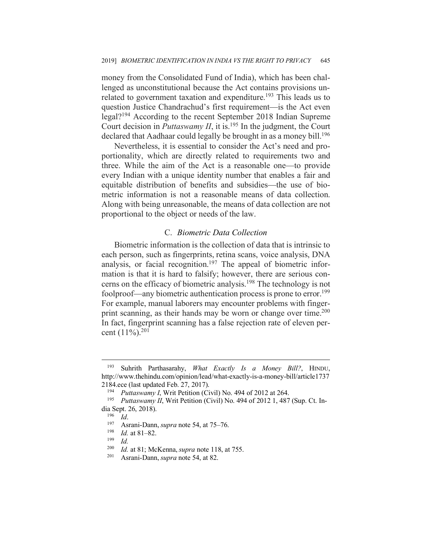money from the Consolidated Fund of India), which has been challenged as unconstitutional because the Act contains provisions unrelated to government taxation and expenditure.<sup>193</sup> This leads us to question Justice Chandrachud's first requirement—is the Act even legal?194 According to the recent September 2018 Indian Supreme Court decision in *Puttaswamy II*, it is.<sup>195</sup> In the judgment, the Court declared that Aadhaar could legally be brought in as a money bill.<sup>196</sup>

Nevertheless, it is essential to consider the Act's need and proportionality, which are directly related to requirements two and three. While the aim of the Act is a reasonable one—to provide every Indian with a unique identity number that enables a fair and equitable distribution of benefits and subsidies—the use of biometric information is not a reasonable means of data collection. Along with being unreasonable, the means of data collection are not proportional to the object or needs of the law.

## C. *Biometric Data Collection*

Biometric information is the collection of data that is intrinsic to each person, such as fingerprints, retina scans, voice analysis, DNA analysis, or facial recognition.<sup>197</sup> The appeal of biometric information is that it is hard to falsify; however, there are serious concerns on the efficacy of biometric analysis.198 The technology is not foolproof—any biometric authentication process is prone to error.<sup>199</sup> For example, manual laborers may encounter problems with fingerprint scanning, as their hands may be worn or change over time.<sup>200</sup> In fact, fingerprint scanning has a false rejection rate of eleven percent (11%). 201

<sup>193</sup> Suhrith Parthasarahy, *What Exactly Is a Money Bill?*, HINDU, http://www.thehindu.com/opinion/lead/what-exactly-is-a-money-bill/article1737 2184.ece (last updated Feb. 27, 2017).<br><sup>194</sup> *Puttaswamy I*, Writ Petition (Civil) No. 494 of 2012 at 264.<br><sup>195</sup> *Puttaswamy II*, Writ Petition (Civil) No. 494 of 2012 1.487

*Puttaswamy II*, Writ Petition (Civil) No. 494 of 2012 1, 487 (Sup. Ct. India Sept. 26, 2018).

<sup>196</sup> *Id*. 197 Asrani-Dann, *supra* note 54, at 75–76. 198 *Id.* at 81–82. 199 *Id.* 

<sup>200</sup> *Id.* at 81; McKenna, *supra* note 118, at 755. 201 Asrani-Dann, *supra* note 54, at 82.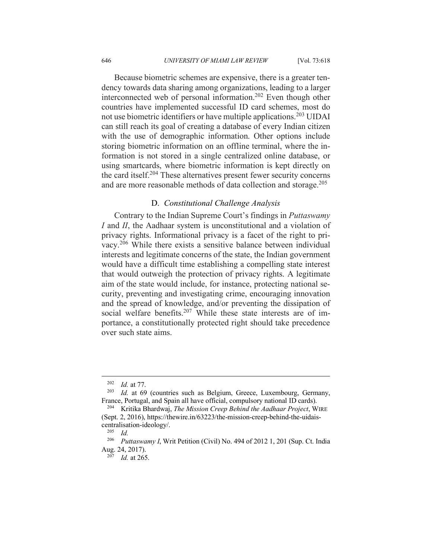Because biometric schemes are expensive, there is a greater tendency towards data sharing among organizations, leading to a larger interconnected web of personal information.202 Even though other countries have implemented successful ID card schemes, most do not use biometric identifiers or have multiple applications.203 UIDAI can still reach its goal of creating a database of every Indian citizen with the use of demographic information. Other options include storing biometric information on an offline terminal, where the information is not stored in a single centralized online database, or using smartcards, where biometric information is kept directly on the card itself.204 These alternatives present fewer security concerns and are more reasonable methods of data collection and storage.<sup>205</sup>

## D. *Constitutional Challenge Analysis*

Contrary to the Indian Supreme Court's findings in *Puttaswamy I* and *II*, the Aadhaar system is unconstitutional and a violation of privacy rights. Informational privacy is a facet of the right to privacy.206 While there exists a sensitive balance between individual interests and legitimate concerns of the state, the Indian government would have a difficult time establishing a compelling state interest that would outweigh the protection of privacy rights. A legitimate aim of the state would include, for instance, protecting national security, preventing and investigating crime, encouraging innovation and the spread of knowledge, and/or preventing the dissipation of social welfare benefits.<sup>207</sup> While these state interests are of importance, a constitutionally protected right should take precedence over such state aims.

<sup>202</sup> *Id.* at 77. 203 *Id.* at 69 (countries such as Belgium, Greece, Luxembourg, Germany, France, Portugal, and Spain all have official, compulsory national ID cards). 204 Kritika Bhardwaj, *The Mission Creep Behind the Aadhaar Project*, WIRE

<sup>(</sup>Sept. 2, 2016), https://thewire.in/63223/the-mission-creep-behind-the-uidaiscentralisation-ideology/.

 $\frac{205}{206}$  *Id.* 

*Puttaswamy I*, Writ Petition (Civil) No. 494 of 2012 1, 201 (Sup. Ct. India Aug. 24, 2017).

<sup>207</sup> *Id.* at 265.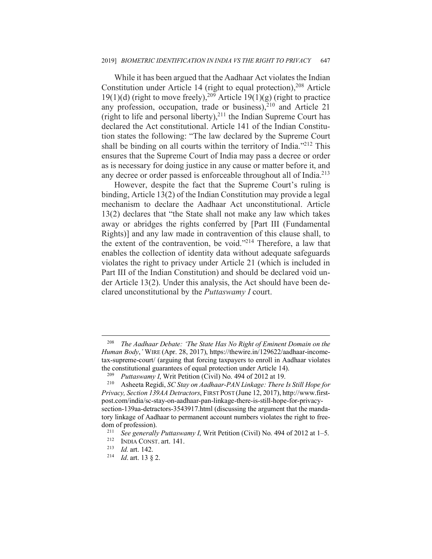While it has been argued that the Aadhaar Act violates the Indian Constitution under Article 14 (right to equal protection), <sup>208</sup> Article 19(1)(d) (right to move freely),<sup>209</sup> Article 19(1)(g) (right to practice any profession, occupation, trade or business), <sup>210</sup> and Article 21 (right to life and personal liberty), $2^{11}$  the Indian Supreme Court has declared the Act constitutional. Article 141 of the Indian Constitution states the following: "The law declared by the Supreme Court shall be binding on all courts within the territory of India. $1212$  This ensures that the Supreme Court of India may pass a decree or order as is necessary for doing justice in any cause or matter before it, and any decree or order passed is enforceable throughout all of India.<sup>213</sup>

However, despite the fact that the Supreme Court's ruling is binding, Article 13(2) of the Indian Constitution may provide a legal mechanism to declare the Aadhaar Act unconstitutional. Article 13(2) declares that "the State shall not make any law which takes away or abridges the rights conferred by [Part III (Fundamental Rights)] and any law made in contravention of this clause shall, to the extent of the contravention, be void."214 Therefore, a law that enables the collection of identity data without adequate safeguards violates the right to privacy under Article 21 (which is included in Part III of the Indian Constitution) and should be declared void under Article 13(2). Under this analysis, the Act should have been declared unconstitutional by the *Puttaswamy I* court.

 $\overline{\phantom{a}}$ 

<sup>208</sup> *The Aadhaar Debate: 'The State Has No Right of Eminent Domain on the Human Body*,*'* WIRE (Apr. 28, 2017), https://thewire.in/129622/aadhaar-incometax-supreme-court/ (arguing that forcing taxpayers to enroll in Aadhaar violates the constitutional guarantees of equal protection under Article 14).<br><sup>209</sup> *Puttaswamy I*, Writ Petition (Civil) No. 494 of 2012 at 19.<br><sup>210</sup> Asheeta Regidi, *SC Stay on Aadhaar-PAN Linkage: There Is Still Hope for* 

*Privacy, Section 139AA Detractors*, FIRST POST (June 12, 2017), http://www.firstpost.com/india/sc-stay-on-aadhaar-pan-linkage-there-is-still-hope-for-privacysection-139aa-detractors-3543917.html (discussing the argument that the mandatory linkage of Aadhaar to permanent account numbers violates the right to freedom of profession).

<sup>&</sup>lt;sup>211</sup> *See generally Puttaswamy I*, Writ Petition (Civil) No. 494 of 2012 at 1–5.<br><sup>212</sup> INDIA CONST art 141

<sup>212</sup> INDIA CONST. art. 141. 213 *Id.* art. 142. 214 *Id*. art. 13 § 2.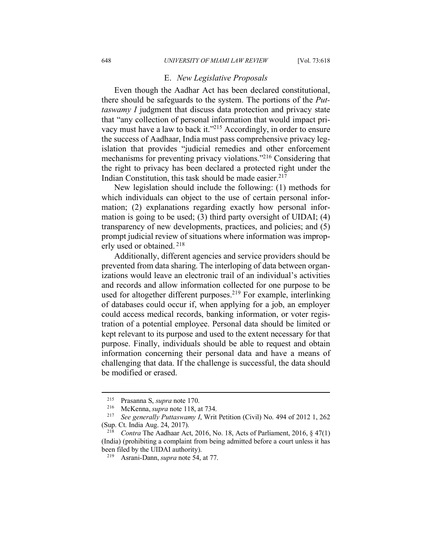#### E. *New Legislative Proposals*

Even though the Aadhar Act has been declared constitutional, there should be safeguards to the system. The portions of the *Puttaswamy I* judgment that discuss data protection and privacy state that "any collection of personal information that would impact privacy must have a law to back it."215 Accordingly, in order to ensure the success of Aadhaar, India must pass comprehensive privacy legislation that provides "judicial remedies and other enforcement mechanisms for preventing privacy violations."216 Considering that the right to privacy has been declared a protected right under the Indian Constitution, this task should be made easier. 217

New legislation should include the following: (1) methods for which individuals can object to the use of certain personal information; (2) explanations regarding exactly how personal information is going to be used; (3) third party oversight of UIDAI; (4) transparency of new developments, practices, and policies; and (5) prompt judicial review of situations where information was improperly used or obtained. <sup>218</sup>

Additionally, different agencies and service providers should be prevented from data sharing. The interloping of data between organizations would leave an electronic trail of an individual's activities and records and allow information collected for one purpose to be used for altogether different purposes. <sup>219</sup> For example, interlinking of databases could occur if, when applying for a job, an employer could access medical records, banking information, or voter registration of a potential employee. Personal data should be limited or kept relevant to its purpose and used to the extent necessary for that purpose. Finally, individuals should be able to request and obtain information concerning their personal data and have a means of challenging that data. If the challenge is successful, the data should be modified or erased.

 $\overline{\phantom{a}}$ 

<sup>215</sup> Prasanna S, *supra* note 170. 216 McKenna, *supra* note 118, at 734. 217 *See generally Puttaswamy I*, Writ Petition (Civil) No. 494 of 2012 1, 262 (Sup. Ct. India Aug. 24, 2017).

<sup>218</sup> *Contra* The Aadhaar Act, 2016, No. 18, Acts of Parliament, 2016, § 47(1) (India) (prohibiting a complaint from being admitted before a court unless it has been filed by the UIDAI authority). 219 Asrani-Dann, *supra* note 54, at 77.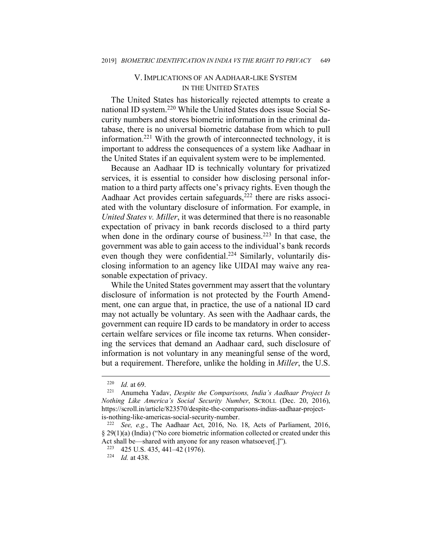## V. IMPLICATIONS OF AN AADHAAR-LIKE SYSTEM IN THE UNITED STATES

The United States has historically rejected attempts to create a national ID system. <sup>220</sup> While the United States does issue Social Security numbers and stores biometric information in the criminal database, there is no universal biometric database from which to pull information. <sup>221</sup> With the growth of interconnected technology, it is important to address the consequences of a system like Aadhaar in the United States if an equivalent system were to be implemented.

Because an Aadhaar ID is technically voluntary for privatized services, it is essential to consider how disclosing personal information to a third party affects one's privacy rights. Even though the Aadhaar Act provides certain safeguards, <sup>222</sup> there are risks associated with the voluntary disclosure of information. For example, in *United States v. Miller*, it was determined that there is no reasonable expectation of privacy in bank records disclosed to a third party when done in the ordinary course of business.<sup>223</sup> In that case, the government was able to gain access to the individual's bank records even though they were confidential.<sup>224</sup> Similarly, voluntarily disclosing information to an agency like UIDAI may waive any reasonable expectation of privacy.

While the United States government may assert that the voluntary disclosure of information is not protected by the Fourth Amendment, one can argue that, in practice, the use of a national ID card may not actually be voluntary. As seen with the Aadhaar cards, the government can require ID cards to be mandatory in order to access certain welfare services or file income tax returns. When considering the services that demand an Aadhaar card, such disclosure of information is not voluntary in any meaningful sense of the word, but a requirement. Therefore, unlike the holding in *Miller*, the U.S.

<sup>220</sup> *Id.* at 69. 221 Anumeha Yadav, *Despite the Comparisons, India's Aadhaar Project Is Nothing Like America's Social Security Number*, SCROLL (Dec. 20, 2016), https://scroll.in/article/823570/despite-the-comparisons-indias-aadhaar-project-

is-nothing-like-americas-social-security-number. 222 *See, e.g.*, The Aadhaar Act, 2016, No. 18, Acts of Parliament, 2016, § 29(1)(a) (India) ("No core biometric information collected or created under this Act shall be—shared with anyone for any reason whatsoever[.]").<br><sup>223</sup> 425 U.S. 435, 441–42 (1976).<br><sup>224</sup> *Id.* at 438.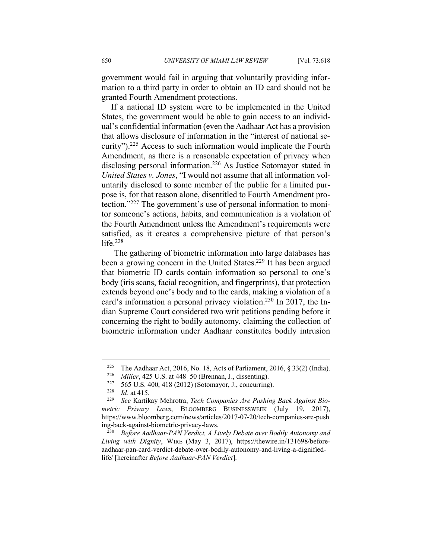government would fail in arguing that voluntarily providing information to a third party in order to obtain an ID card should not be granted Fourth Amendment protections.

If a national ID system were to be implemented in the United States, the government would be able to gain access to an individual's confidential information (even the Aadhaar Act has a provision that allows disclosure of information in the "interest of national security").225 Access to such information would implicate the Fourth Amendment, as there is a reasonable expectation of privacy when disclosing personal information.226 As Justice Sotomayor stated in *United States v. Jones*, "I would not assume that all information voluntarily disclosed to some member of the public for a limited purpose is, for that reason alone, disentitled to Fourth Amendment protection."227 The government's use of personal information to monitor someone's actions, habits, and communication is a violation of the Fourth Amendment unless the Amendment's requirements were satisfied, as it creates a comprehensive picture of that person's life. 228

The gathering of biometric information into large databases has been a growing concern in the United States. <sup>229</sup> It has been argued that biometric ID cards contain information so personal to one's body (iris scans, facial recognition, and fingerprints), that protection extends beyond one's body and to the cards, making a violation of a card's information a personal privacy violation.<sup>230</sup> In 2017, the Indian Supreme Court considered two writ petitions pending before it concerning the right to bodily autonomy, claiming the collection of biometric information under Aadhaar constitutes bodily intrusion

<sup>&</sup>lt;sup>225</sup> The Aadhaar Act, 2016, No. 18, Acts of Parliament, 2016, § 33(2) (India).

<sup>&</sup>lt;sup>226</sup> *Miller*, 425 U.S. at 448–50 (Brennan, J., dissenting).<br><sup>227</sup> 565 U.S. 400, 418 (2012) (Sotomayor, J., concurring).<br><sup>228</sup> *Id.* at 415.<br><sup>229</sup> See Kartikay Mehrotra, *Tech Companies Are Pushing Back Against Biometric Privacy Laws*, BLOOMBERG BUSINESSWEEK (July 19, 2017), https://www.bloomberg.com/news/articles/2017-07-20/tech-companies-are-push ing-back-against-biometric-privacy-laws.

Before Aadhaar-PAN Verdict, A Lively Debate over Bodily Autonomy and *Living with Dignity*, WIRE (May 3, 2017), https://thewire.in/131698/beforeaadhaar-pan-card-verdict-debate-over-bodily-autonomy-and-living-a-dignifiedlife/ [hereinafter *Before Aadhaar-PAN Verdict*].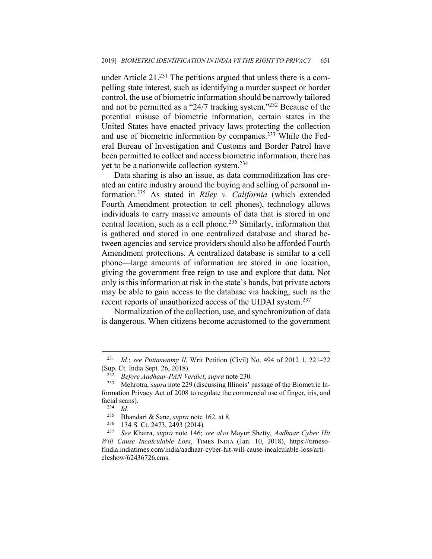under Article  $21^{231}$  The petitions argued that unless there is a compelling state interest, such as identifying a murder suspect or border control, the use of biometric information should be narrowly tailored and not be permitted as a "24/7 tracking system."232 Because of the potential misuse of biometric information, certain states in the United States have enacted privacy laws protecting the collection and use of biometric information by companies.233 While the Federal Bureau of Investigation and Customs and Border Patrol have been permitted to collect and access biometric information, there has yet to be a nationwide collection system. 234

Data sharing is also an issue, as data commoditization has created an entire industry around the buying and selling of personal information. <sup>235</sup> As stated in *Riley v. California* (which extended Fourth Amendment protection to cell phones), technology allows individuals to carry massive amounts of data that is stored in one central location, such as a cell phone.<sup>236</sup> Similarly, information that is gathered and stored in one centralized database and shared between agencies and service providers should also be afforded Fourth Amendment protections. A centralized database is similar to a cell phone—large amounts of information are stored in one location, giving the government free reign to use and explore that data. Not only is this information at risk in the state's hands, but private actors may be able to gain access to the database via hacking, such as the recent reports of unauthorized access of the UIDAI system.<sup>237</sup>

Normalization of the collection, use, and synchronization of data is dangerous. When citizens become accustomed to the government

<sup>231</sup> *Id.*; *see Puttaswamy II*, Writ Petition (Civil) No. 494 of 2012 1, 221–22 (Sup. Ct. India Sept. 26, 2018).

<sup>232</sup> *Before Aadhaar-PAN Verdict*, *supra* note 230.

<sup>233</sup> Mehrotra, *supra* note 229 (discussing Illinois' passage of the Biometric Information Privacy Act of 2008 to regulate the commercial use of finger, iris, and facial scans).<br> $\frac{^{234}}{1d}$ .<br> $\frac{^{235}}{16}$  Rhand

<sup>235</sup> Bhandari & Sane, *supra* note 162, at 8. 236 134 S. Ct. 2473, 2493 (2014).

<sup>237</sup> *See* Khaira, *supra* note 146; *see also* Mayur Shetty, *Aadhaar Cyber Hit Will Cause Incalculable Loss*, TIMES INDIA (Jan. 10, 2018), https://timesofindia.indiatimes.com/india/aadhaar-cyber-hit-will-cause-incalculable-loss/articleshow/62436726.cms.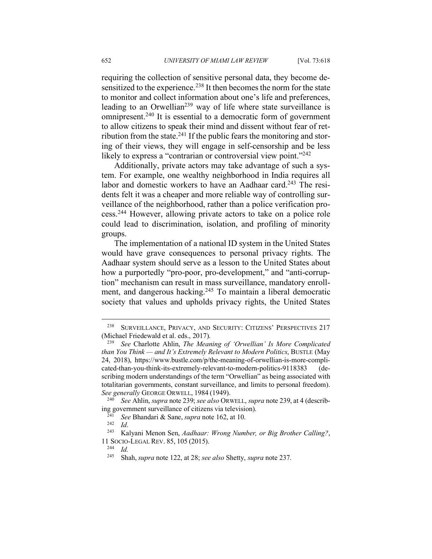requiring the collection of sensitive personal data, they become desensitized to the experience.<sup>238</sup> It then becomes the norm for the state to monitor and collect information about one's life and preferences, leading to an Orwellian<sup>239</sup> way of life where state surveillance is omnipresent. <sup>240</sup> It is essential to a democratic form of government to allow citizens to speak their mind and dissent without fear of retribution from the state.<sup>241</sup> If the public fears the monitoring and storing of their views, they will engage in self-censorship and be less likely to express a "contrarian or controversial view point."<sup>242</sup>

Additionally, private actors may take advantage of such a system. For example, one wealthy neighborhood in India requires all labor and domestic workers to have an Aadhaar card.<sup>243</sup> The residents felt it was a cheaper and more reliable way of controlling surveillance of the neighborhood, rather than a police verification process.244 However, allowing private actors to take on a police role could lead to discrimination, isolation, and profiling of minority groups.

The implementation of a national ID system in the United States would have grave consequences to personal privacy rights. The Aadhaar system should serve as a lesson to the United States about how a purportedly "pro-poor, pro-development," and "anti-corruption" mechanism can result in mass surveillance, mandatory enrollment, and dangerous hacking.<sup>245</sup> To maintain a liberal democratic society that values and upholds privacy rights, the United States

<sup>238</sup> SURVEILLANCE, PRIVACY, AND SECURITY: CITIZENS' PERSPECTIVES 217

<sup>(</sup>Michael Friedewald et al. eds., 2017). 239 *See* Charlotte Ahlin, *The Meaning of 'Orwellian' Is More Complicated than You Think — and It's Extremely Relevant to Modern Politics*, BUSTLE (May 24, 2018), https://www.bustle.com/p/the-meaning-of-orwellian-is-more-complicated-than-you-think-its-extremely-relevant-to-modern-politics-9118383 (describing modern understandings of the term "Orwellian" as being associated with totalitarian governments, constant surveillance, and limits to personal freedom). *See generally* GEORGE ORWELL, 1984 (1949).

<sup>240</sup> *See* Ahlin, *supra* note 239; *see also* ORWELL, *supra* note 239, at 4 (describing government surveillance of citizens via television). 241 *See* Bhandari & Sane, *supra* note 162, at 10. 242 *Id*. 243 Kalyani Menon Sen, *Aadhaar: Wrong Number, or Big Brother Calling?*,

<sup>11</sup> SOCIO-LEGAL REV. 85, 105 (2015).

 $\frac{244}{245}$  *Id.* 

<sup>245</sup> Shah, *supra* note 122, at 28; *see also* Shetty, *supra* note 237.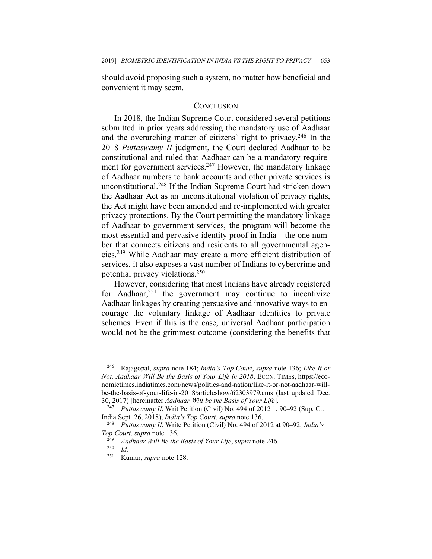should avoid proposing such a system, no matter how beneficial and convenient it may seem.

#### **CONCLUSION**

In 2018, the Indian Supreme Court considered several petitions submitted in prior years addressing the mandatory use of Aadhaar and the overarching matter of citizens' right to privacy.<sup>246</sup> In the 2018 *Puttaswamy II* judgment, the Court declared Aadhaar to be constitutional and ruled that Aadhaar can be a mandatory requirement for government services.<sup>247</sup> However, the mandatory linkage of Aadhaar numbers to bank accounts and other private services is unconstitutional.248 If the Indian Supreme Court had stricken down the Aadhaar Act as an unconstitutional violation of privacy rights, the Act might have been amended and re-implemented with greater privacy protections. By the Court permitting the mandatory linkage of Aadhaar to government services, the program will become the most essential and pervasive identity proof in India—the one number that connects citizens and residents to all governmental agencies.249 While Aadhaar may create a more efficient distribution of services, it also exposes a vast number of Indians to cybercrime and potential privacy violations.250

However, considering that most Indians have already registered for Aadhaar, <sup>251</sup> the government may continue to incentivize Aadhaar linkages by creating persuasive and innovative ways to encourage the voluntary linkage of Aadhaar identities to private schemes. Even if this is the case, universal Aadhaar participation would not be the grimmest outcome (considering the benefits that

<sup>246</sup> Rajagopal, *supra* note 184; *India's Top Court*, *supra* note 136; *Like It or Not, Aadhaar Will Be the Basis of Your Life in 2018*, ECON. TIMES, https://economictimes.indiatimes.com/news/politics-and-nation/like-it-or-not-aadhaar-willbe-the-basis-of-your-life-in-2018/articleshow/62303979.cms (last updated Dec. 30, 2017) [hereinafter *Aadhaar Will be the Basis of Your Life*].

*Puttaswamy II*, Writ Petition (Civil) No. 494 of 2012 1, 90–92 (Sup. Ct. India Sept. 26, 2018); *India's Top Court*, *supra* note 136.

<sup>248</sup> *Puttaswamy II*, Write Petition (Civil) No. 494 of 2012 at 90–92; *India's Top Court*, *supra* note 136.

<sup>249</sup> *Aadhaar Will Be the Basis of Your Life*, *supra* note 246. 250 *Id.*

<sup>251</sup> Kumar, *supra* note 128.